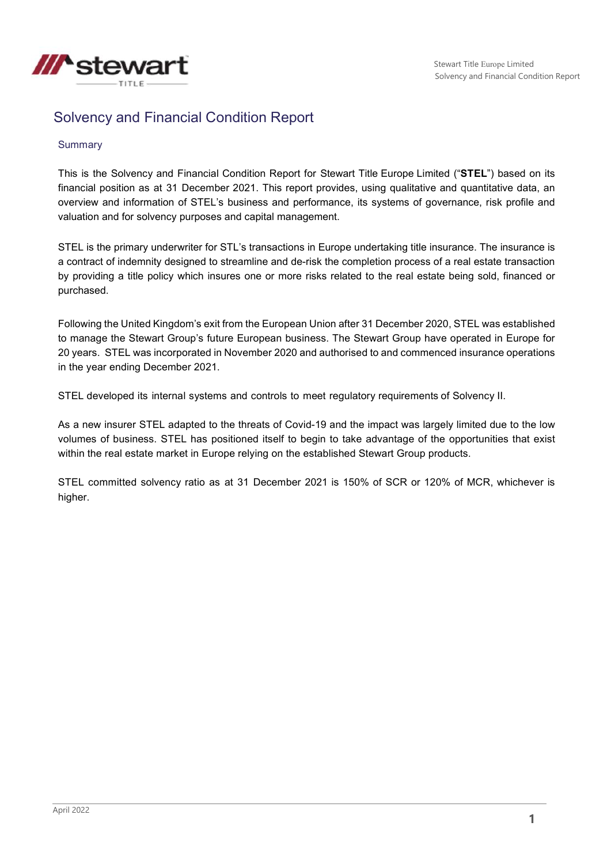

# Solvency and Financial Condition Report

#### **Summary**

This is the Solvency and Financial Condition Report for Stewart Title Europe Limited ("**STEL**") based on its financial position as at 31 December 2021. This report provides, using qualitative and quantitative data, an overview and information of STEL's business and performance, its systems of governance, risk profile and valuation and for solvency purposes and capital management.

STEL is the primary underwriter for STL's transactions in Europe undertaking title insurance. The insurance is a contract of indemnity designed to streamline and de-risk the completion process of a real estate transaction by providing a title policy which insures one or more risks related to the real estate being sold, financed or purchased.

Following the United Kingdom's exit from the European Union after 31 December 2020, STEL was established to manage the Stewart Group's future European business. The Stewart Group have operated in Europe for 20 years. STEL was incorporated in November 2020 and authorised to and commenced insurance operations in the year ending December 2021.

STEL developed its internal systems and controls to meet regulatory requirements of Solvency II.

As a new insurer STEL adapted to the threats of Covid-19 and the impact was largely limited due to the low volumes of business. STEL has positioned itself to begin to take advantage of the opportunities that exist within the real estate market in Europe relying on the established Stewart Group products.

STEL committed solvency ratio as at 31 December 2021 is 150% of SCR or 120% of MCR, whichever is higher.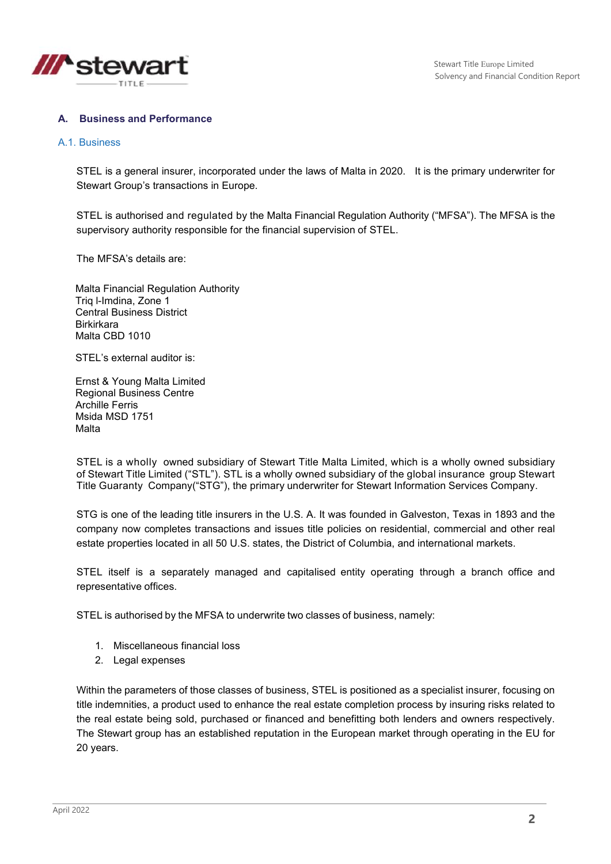

### **A. Business and Performance**

#### A.1. Business

STEL is a general insurer, incorporated under the laws of Malta in 2020. It is the primary underwriter for Stewart Group's transactions in Europe.

STEL is authorised and regulated by the Malta Financial Regulation Authority ("MFSA"). The MFSA is the supervisory authority responsible for the financial supervision of STEL.

The MFSA's details are:

Malta Financial Regulation Authority Triq l-Imdina, Zone 1 Central Business District Birkirkara Malta CBD 1010

STEL's external auditor is:

Ernst & Young Malta Limited Regional Business Centre Archille Ferris Msida MSD 1751 Malta

STEL is a wholly owned subsidiary of Stewart Title Malta Limited, which is a wholly owned subsidiary of Stewart Title Limited ("STL"). STL is a wholly owned subsidiary of the global insurance group Stewart Title Guaranty Company("STG"), the primary underwriter for Stewart Information Services Company.

STG is one of the leading title insurers in the U.S. A. It was founded in Galveston, Texas in 1893 and the company now completes transactions and issues title policies on residential, commercial and other real estate properties located in all 50 U.S. states, the District of Columbia, and international markets.

STEL itself is a separately managed and capitalised entity operating through a branch office and representative offices.

STEL is authorised by the MFSA to underwrite two classes of business, namely:

- 1. Miscellaneous financial loss
- 2. Legal expenses

Within the parameters of those classes of business, STEL is positioned as a specialist insurer, focusing on title indemnities, a product used to enhance the real estate completion process by insuring risks related to the real estate being sold, purchased or financed and benefitting both lenders and owners respectively. The Stewart group has an established reputation in the European market through operating in the EU for 20 years.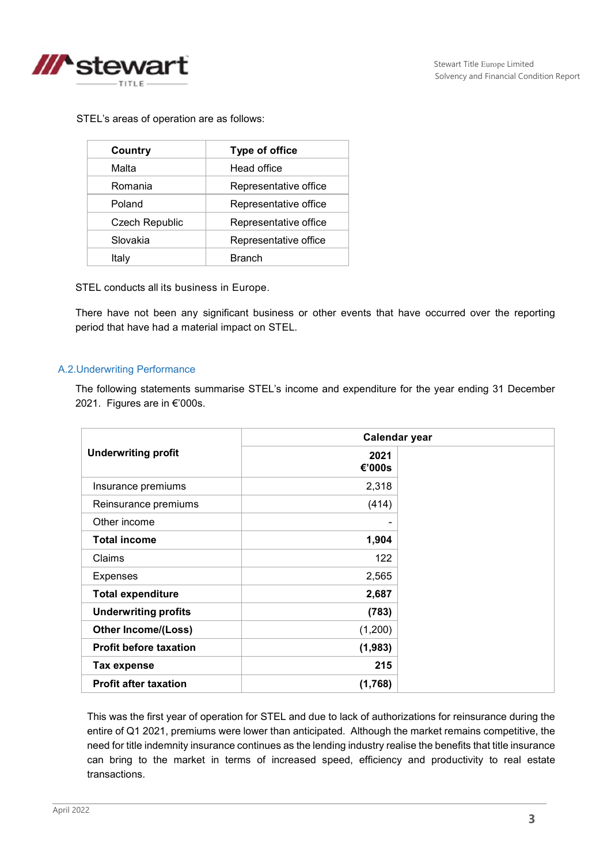

STEL's areas of operation are as follows:

| Country                           | <b>Type of office</b> |
|-----------------------------------|-----------------------|
| Malta                             | Head office           |
| Romania<br>Representative office  |                       |
| Poland                            | Representative office |
| <b>Czech Republic</b>             | Representative office |
| Slovakia<br>Representative office |                       |
| Italy                             | Branch                |

STEL conducts all its business in Europe.

There have not been any significant business or other events that have occurred over the reporting period that have had a material impact on STEL.

#### A.2.Underwriting Performance

The following statements summarise STEL's income and expenditure for the year ending 31 December 2021. Figures are in €'000s.

|                               | Calendar year  |  |
|-------------------------------|----------------|--|
| <b>Underwriting profit</b>    | 2021<br>€'000s |  |
| Insurance premiums            | 2,318          |  |
| Reinsurance premiums          | (414)          |  |
| Other income                  |                |  |
| <b>Total income</b>           | 1,904          |  |
| Claims                        | 122            |  |
| <b>Expenses</b>               | 2,565          |  |
| <b>Total expenditure</b>      | 2,687          |  |
| <b>Underwriting profits</b>   | (783)          |  |
| <b>Other Income/(Loss)</b>    | (1,200)        |  |
| <b>Profit before taxation</b> | (1, 983)       |  |
| <b>Tax expense</b>            | 215            |  |
| <b>Profit after taxation</b>  | (1,768)        |  |

This was the first year of operation for STEL and due to lack of authorizations for reinsurance during the entire of Q1 2021, premiums were lower than anticipated. Although the market remains competitive, the need for title indemnity insurance continues as the lending industry realise the benefits that title insurance can bring to the market in terms of increased speed, efficiency and productivity to real estate transactions.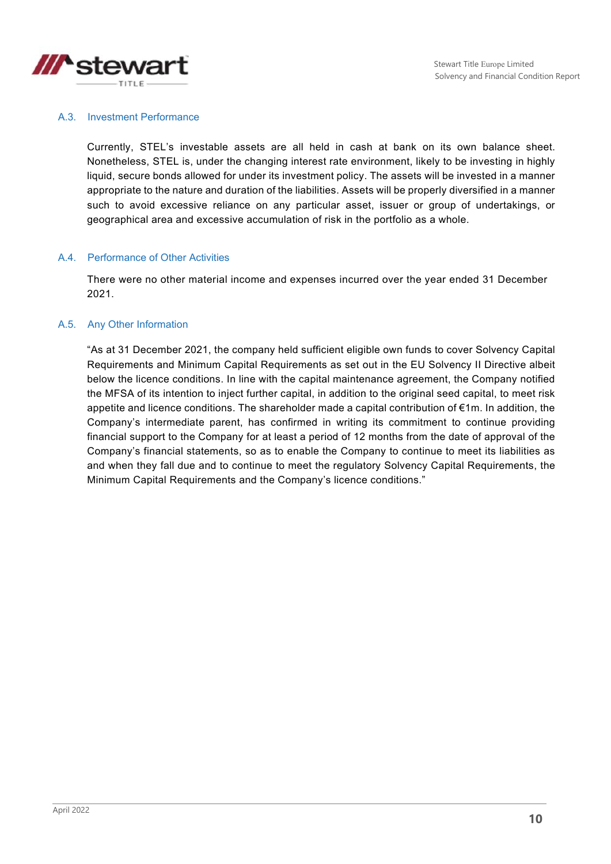

#### A.3. Investment Performance

Currently, STEL's investable assets are all held in cash at bank on its own balance sheet. Nonetheless, STEL is, under the changing interest rate environment, likely to be investing in highly liquid, secure bonds allowed for under its investment policy. The assets will be invested in a manner appropriate to the nature and duration of the liabilities. Assets will be properly diversified in a manner such to avoid excessive reliance on any particular asset, issuer or group of undertakings, or geographical area and excessive accumulation of risk in the portfolio as a whole.

#### A.4. Performance of Other Activities

There were no other material income and expenses incurred over the year ended 31 December 2021.

#### A.5. Any Other Information

"As at 31 December 2021, the company held sufficient eligible own funds to cover Solvency Capital Requirements and Minimum Capital Requirements as set out in the EU Solvency II Directive albeit below the licence conditions. In line with the capital maintenance agreement, the Company notified the MFSA of its intention to inject further capital, in addition to the original seed capital, to meet risk appetite and licence conditions. The shareholder made a capital contribution of €1m. In addition, the Company's intermediate parent, has confirmed in writing its commitment to continue providing financial support to the Company for at least a period of 12 months from the date of approval of the Company's financial statements, so as to enable the Company to continue to meet its liabilities as and when they fall due and to continue to meet the regulatory Solvency Capital Requirements, the Minimum Capital Requirements and the Company's licence conditions."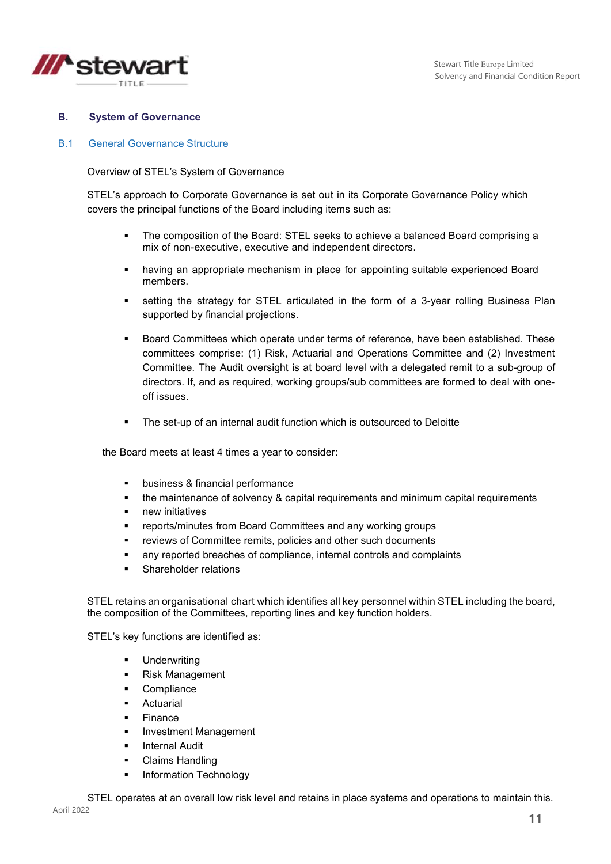

### **B. System of Governance**

### B.1 General Governance Structure

#### Overview of STEL's System of Governance

STEL's approach to Corporate Governance is set out in its Corporate Governance Policy which covers the principal functions of the Board including items such as:

- The composition of the Board: STEL seeks to achieve a balanced Board comprising a mix of non-executive, executive and independent directors.
- having an appropriate mechanism in place for appointing suitable experienced Board members.
- setting the strategy for STEL articulated in the form of a 3-year rolling Business Plan supported by financial projections.
- Board Committees which operate under terms of reference, have been established. These committees comprise: (1) Risk, Actuarial and Operations Committee and (2) Investment Committee. The Audit oversight is at board level with a delegated remit to a sub-group of directors. If, and as required, working groups/sub committees are formed to deal with oneoff issues.
- **The set-up of an internal audit function which is outsourced to Deloitte**

the Board meets at least 4 times a year to consider:

- business & financial performance
- the maintenance of solvency & capital requirements and minimum capital requirements
- **new initiatives**
- reports/minutes from Board Committees and any working groups
- reviews of Committee remits, policies and other such documents
- any reported breaches of compliance, internal controls and complaints
- Shareholder relations

STEL retains an organisational chart which identifies all key personnel within STEL including the board, the composition of the Committees, reporting lines and key function holders.

STEL's key functions are identified as:

- **Underwriting**
- **Risk Management**
- Compliance
- Actuarial
- Finance
- Investment Management
- **Internal Audit**
- Claims Handling
- **Information Technology**

STEL operates at an overall low risk level and retains in place systems and operations to maintain this.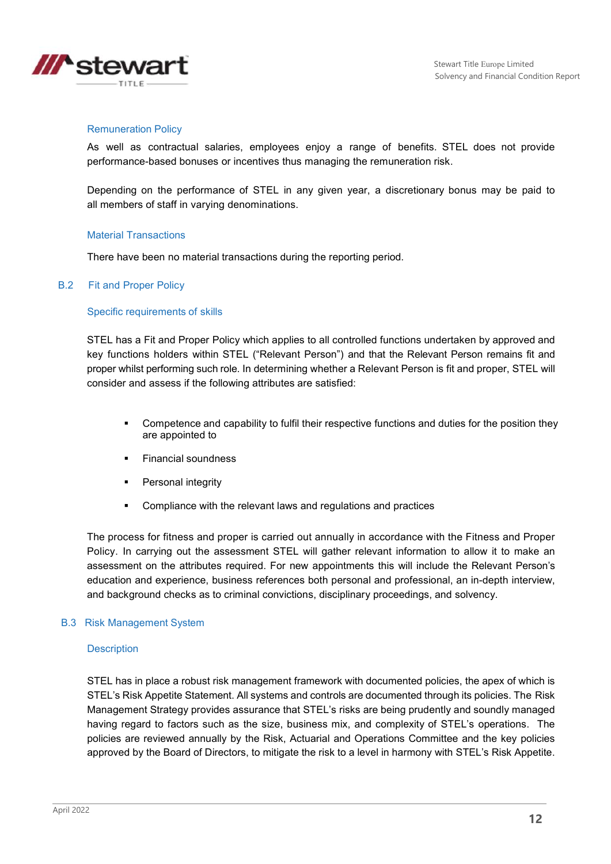



#### Remuneration Policy

As well as contractual salaries, employees enjoy a range of benefits. STEL does not provide performance-based bonuses or incentives thus managing the remuneration risk.

Depending on the performance of STEL in any given year, a discretionary bonus may be paid to all members of staff in varying denominations.

#### Material Transactions

There have been no material transactions during the reporting period.

#### B.2 Fit and Proper Policy

#### Specific requirements of skills

STEL has a Fit and Proper Policy which applies to all controlled functions undertaken by approved and key functions holders within STEL ("Relevant Person") and that the Relevant Person remains fit and proper whilst performing such role. In determining whether a Relevant Person is fit and proper, STEL will consider and assess if the following attributes are satisfied:

- Competence and capability to fulfil their respective functions and duties for the position they are appointed to
- **Financial soundness**
- **Personal integrity**
- **EXECOMPLE 1** Compliance with the relevant laws and regulations and practices

The process for fitness and proper is carried out annually in accordance with the Fitness and Proper Policy. In carrying out the assessment STEL will gather relevant information to allow it to make an assessment on the attributes required. For new appointments this will include the Relevant Person's education and experience, business references both personal and professional, an in-depth interview, and background checks as to criminal convictions, disciplinary proceedings, and solvency.

#### B.3 Risk Management System

#### **Description**

STEL has in place a robust risk management framework with documented policies, the apex of which is STEL's Risk Appetite Statement. All systems and controls are documented through its policies. The Risk Management Strategy provides assurance that STEL's risks are being prudently and soundly managed having regard to factors such as the size, business mix, and complexity of STEL's operations. The policies are reviewed annually by the Risk, Actuarial and Operations Committee and the key policies approved by the Board of Directors, to mitigate the risk to a level in harmony with STEL's Risk Appetite.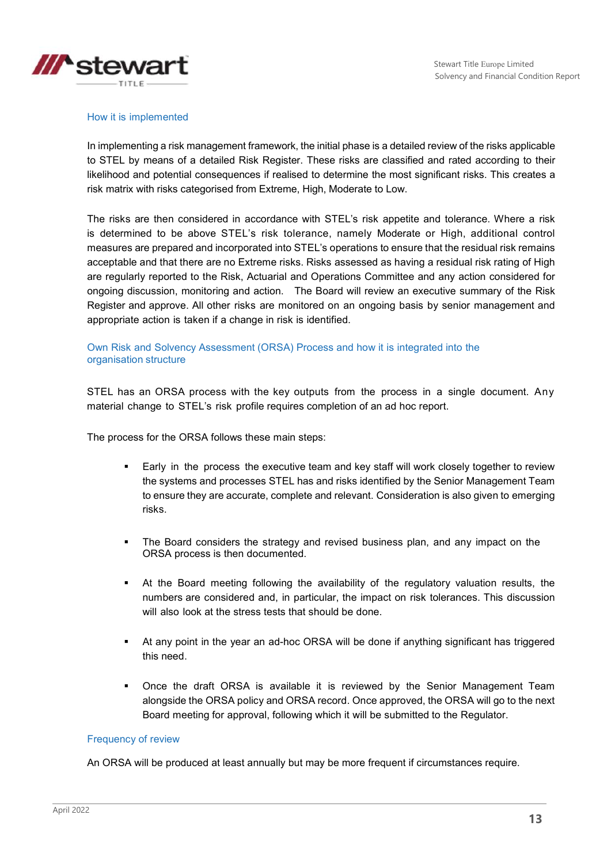

#### How it is implemented

In implementing a risk management framework, the initial phase is a detailed review of the risks applicable to STEL by means of a detailed Risk Register. These risks are classified and rated according to their likelihood and potential consequences if realised to determine the most significant risks. This creates a risk matrix with risks categorised from Extreme, High, Moderate to Low.

The risks are then considered in accordance with STEL's risk appetite and tolerance. Where a risk is determined to be above STEL's risk tolerance, namely Moderate or High, additional control measures are prepared and incorporated into STEL's operations to ensure that the residual risk remains acceptable and that there are no Extreme risks. Risks assessed as having a residual risk rating of High are regularly reported to the Risk, Actuarial and Operations Committee and any action considered for ongoing discussion, monitoring and action. The Board will review an executive summary of the Risk Register and approve. All other risks are monitored on an ongoing basis by senior management and appropriate action is taken if a change in risk is identified.

#### Own Risk and Solvency Assessment (ORSA) Process and how it is integrated into the organisation structure

STEL has an ORSA process with the key outputs from the process in a single document. Any material change to STEL's risk profile requires completion of an ad hoc report.

The process for the ORSA follows these main steps:

- Early in the process the executive team and key staff will work closely together to review the systems and processes STEL has and risks identified by the Senior Management Team to ensure they are accurate, complete and relevant. Consideration is also given to emerging risks.
- The Board considers the strategy and revised business plan, and any impact on the ORSA process is then documented.
- At the Board meeting following the availability of the regulatory valuation results, the numbers are considered and, in particular, the impact on risk tolerances. This discussion will also look at the stress tests that should be done.
- At any point in the year an ad-hoc ORSA will be done if anything significant has triggered this need.
- Once the draft ORSA is available it is reviewed by the Senior Management Team alongside the ORSA policy and ORSA record. Once approved, the ORSA will go to the next Board meeting for approval, following which it will be submitted to the Regulator.

#### Frequency of review

An ORSA will be produced at least annually but may be more frequent if circumstances require.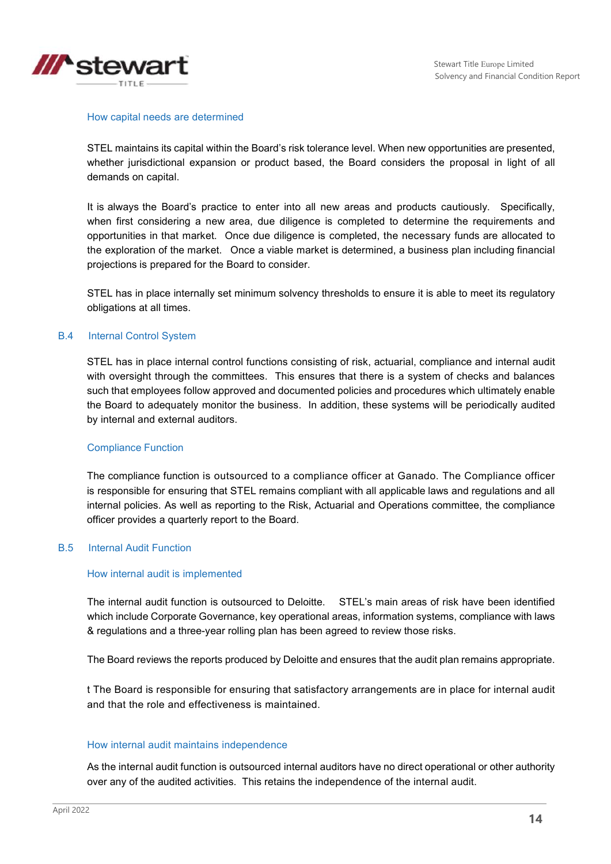

#### How capital needs are determined

STEL maintains its capital within the Board's risk tolerance level. When new opportunities are presented, whether jurisdictional expansion or product based, the Board considers the proposal in light of all demands on capital.

It is always the Board's practice to enter into all new areas and products cautiously. Specifically, when first considering a new area, due diligence is completed to determine the requirements and opportunities in that market. Once due diligence is completed, the necessary funds are allocated to the exploration of the market. Once a viable market is determined, a business plan including financial projections is prepared for the Board to consider.

STEL has in place internally set minimum solvency thresholds to ensure it is able to meet its regulatory obligations at all times.

#### B.4 Internal Control System

STEL has in place internal control functions consisting of risk, actuarial, compliance and internal audit with oversight through the committees. This ensures that there is a system of checks and balances such that employees follow approved and documented policies and procedures which ultimately enable the Board to adequately monitor the business. In addition, these systems will be periodically audited by internal and external auditors.

#### Compliance Function

The compliance function is outsourced to a compliance officer at Ganado. The Compliance officer is responsible for ensuring that STEL remains compliant with all applicable laws and regulations and all internal policies. As well as reporting to the Risk, Actuarial and Operations committee, the compliance officer provides a quarterly report to the Board.

#### B.5 Internal Audit Function

#### How internal audit is implemented

The internal audit function is outsourced to Deloitte. STEL's main areas of risk have been identified which include Corporate Governance, key operational areas, information systems, compliance with laws & regulations and a three-year rolling plan has been agreed to review those risks.

The Board reviews the reports produced by Deloitte and ensures that the audit plan remains appropriate.

t The Board is responsible for ensuring that satisfactory arrangements are in place for internal audit and that the role and effectiveness is maintained.

#### How internal audit maintains independence

As the internal audit function is outsourced internal auditors have no direct operational or other authority over any of the audited activities. This retains the independence of the internal audit.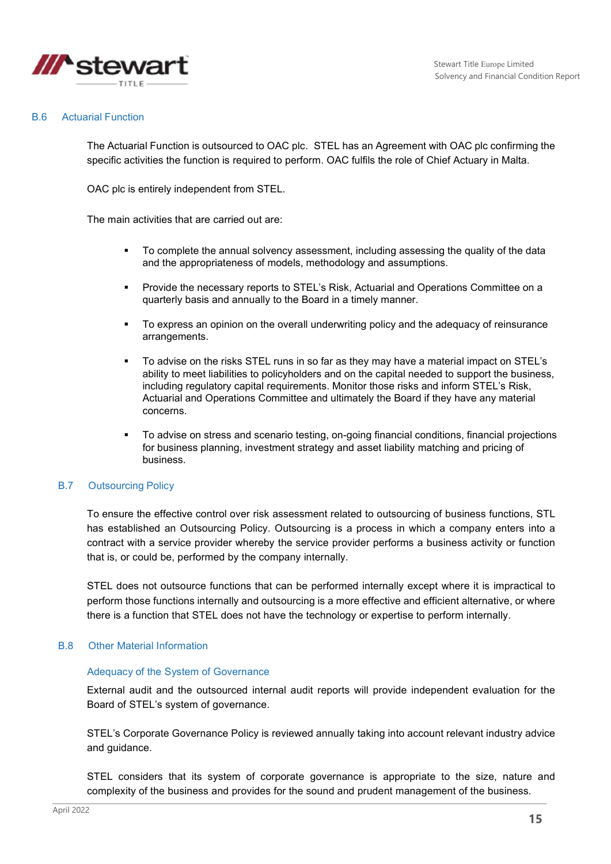

#### B.6 Actuarial Function

The Actuarial Function is outsourced to OAC plc. STEL has an Agreement with OAC plc confirming the specific activities the function is required to perform. OAC fulfils the role of Chief Actuary in Malta.

OAC plc is entirely independent from STEL.

The main activities that are carried out are:

- To complete the annual solvency assessment, including assessing the quality of the data and the appropriateness of models, methodology and assumptions.
- Provide the necessary reports to STEL's Risk, Actuarial and Operations Committee on a quarterly basis and annually to the Board in a timely manner.
- To express an opinion on the overall underwriting policy and the adequacy of reinsurance arrangements.
- To advise on the risks STEL runs in so far as they may have a material impact on STEL's ability to meet liabilities to policyholders and on the capital needed to support the business, including regulatory capital requirements. Monitor those risks and inform STEL's Risk, Actuarial and Operations Committee and ultimately the Board if they have any material concerns.
- To advise on stress and scenario testing, on-going financial conditions, financial projections for business planning, investment strategy and asset liability matching and pricing of business.

#### B.7 Outsourcing Policy

To ensure the effective control over risk assessment related to outsourcing of business functions, STL has established an Outsourcing Policy. Outsourcing is a process in which a company enters into a contract with a service provider whereby the service provider performs a business activity or function that is, or could be, performed by the company internally.

STEL does not outsource functions that can be performed internally except where it is impractical to perform those functions internally and outsourcing is a more effective and efficient alternative, or where there is a function that STEL does not have the technology or expertise to perform internally.

#### B.8 Other Material Information

#### Adequacy of the System of Governance

External audit and the outsourced internal audit reports will provide independent evaluation for the Board of STEL's system of governance.

STEL's Corporate Governance Policy is reviewed annually taking into account relevant industry advice and guidance.

STEL considers that its system of corporate governance is appropriate to the size, nature and complexity of the business and provides for the sound and prudent management of the business.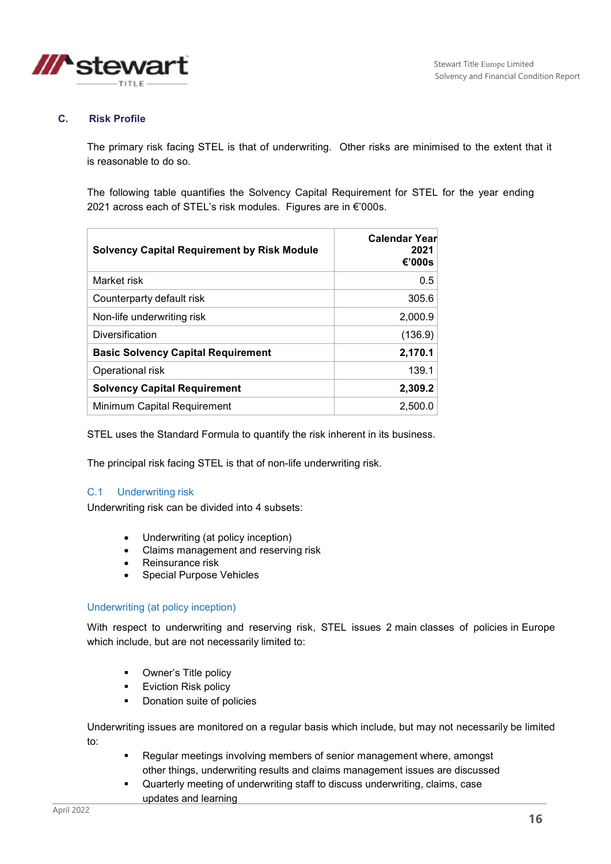

### **C. Risk Profile**

The primary risk facing STEL is that of underwriting. Other risks are minimised to the extent that it is reasonable to do so.

The following table quantifies the Solvency Capital Requirement for STEL for the year ending 2021 across each of STEL's risk modules. Figures are in €'000s.

| <b>Solvency Capital Requirement by Risk Module</b> | Calendar Year<br>2021<br>€'000s |
|----------------------------------------------------|---------------------------------|
| Market risk                                        | 0.5                             |
| Counterparty default risk                          | 305.6                           |
| Non-life underwriting risk                         | 2,000.9                         |
| Diversification                                    | (136.9)                         |
| <b>Basic Solvency Capital Requirement</b>          | 2,170.1                         |
| Operational risk                                   | 139.1                           |
| <b>Solvency Capital Requirement</b>                | 2,309.2                         |
| Minimum Capital Requirement                        | 2.500.0                         |

STEL uses the Standard Formula to quantify the risk inherent in its business.

The principal risk facing STEL is that of non-life underwriting risk.

#### C.1 Underwriting risk

Underwriting risk can be divided into 4 subsets:

- Underwriting (at policy inception)
- Claims management and reserving risk
- Reinsurance risk
- Special Purpose Vehicles

#### Underwriting (at policy inception)

With respect to underwriting and reserving risk, STEL issues 2 main classes of policies in Europe which include, but are not necessarily limited to:

- **•** Owner's Title policy
- **Eviction Risk policy**
- **•** Donation suite of policies

Underwriting issues are monitored on a regular basis which include, but may not necessarily be limited to:

- Regular meetings involving members of senior management where, amongst other things, underwriting results and claims management issues are discussed
- Quarterly meeting of underwriting staff to discuss underwriting, claims, case updates and learning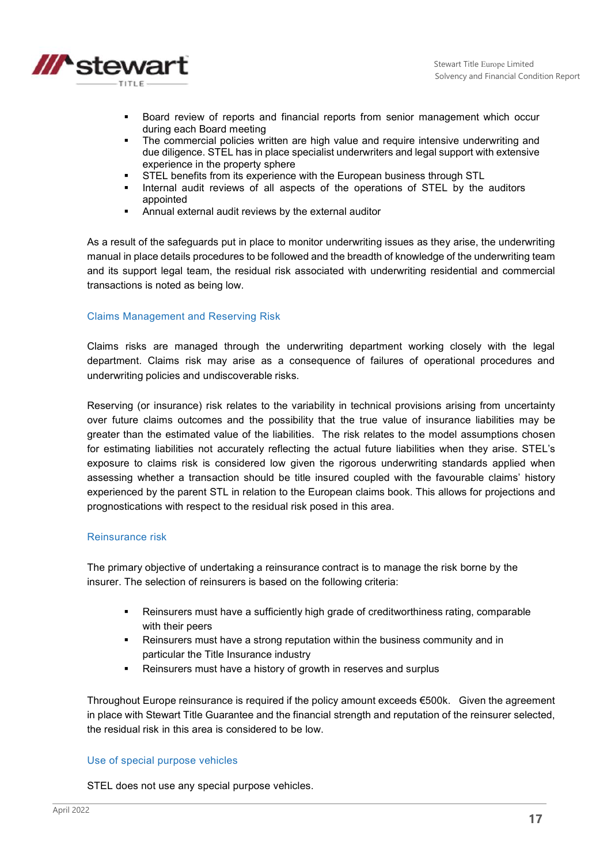

- Board review of reports and financial reports from senior management which occur during each Board meeting
- The commercial policies written are high value and require intensive underwriting and due diligence. STEL has in place specialist underwriters and legal support with extensive experience in the property sphere
- **STEL benefits from its experience with the European business through STL**
- **Internal audit reviews of all aspects of the operations of STEL by the auditors** appointed
- Annual external audit reviews by the external auditor

As a result of the safeguards put in place to monitor underwriting issues as they arise, the underwriting manual in place details procedures to be followed and the breadth of knowledge of the underwriting team and its support legal team, the residual risk associated with underwriting residential and commercial transactions is noted as being low.

#### Claims Management and Reserving Risk

Claims risks are managed through the underwriting department working closely with the legal department. Claims risk may arise as a consequence of failures of operational procedures and underwriting policies and undiscoverable risks.

Reserving (or insurance) risk relates to the variability in technical provisions arising from uncertainty over future claims outcomes and the possibility that the true value of insurance liabilities may be greater than the estimated value of the liabilities. The risk relates to the model assumptions chosen for estimating liabilities not accurately reflecting the actual future liabilities when they arise. STEL's exposure to claims risk is considered low given the rigorous underwriting standards applied when assessing whether a transaction should be title insured coupled with the favourable claims' history experienced by the parent STL in relation to the European claims book. This allows for projections and prognostications with respect to the residual risk posed in this area.

#### Reinsurance risk

The primary objective of undertaking a reinsurance contract is to manage the risk borne by the insurer. The selection of reinsurers is based on the following criteria:

- Reinsurers must have a sufficiently high grade of creditworthiness rating, comparable with their peers
- Reinsurers must have a strong reputation within the business community and in particular the Title Insurance industry
- Reinsurers must have a history of growth in reserves and surplus

Throughout Europe reinsurance is required if the policy amount exceeds €500k. Given the agreement in place with Stewart Title Guarantee and the financial strength and reputation of the reinsurer selected, the residual risk in this area is considered to be low.

#### Use of special purpose vehicles

STEL does not use any special purpose vehicles.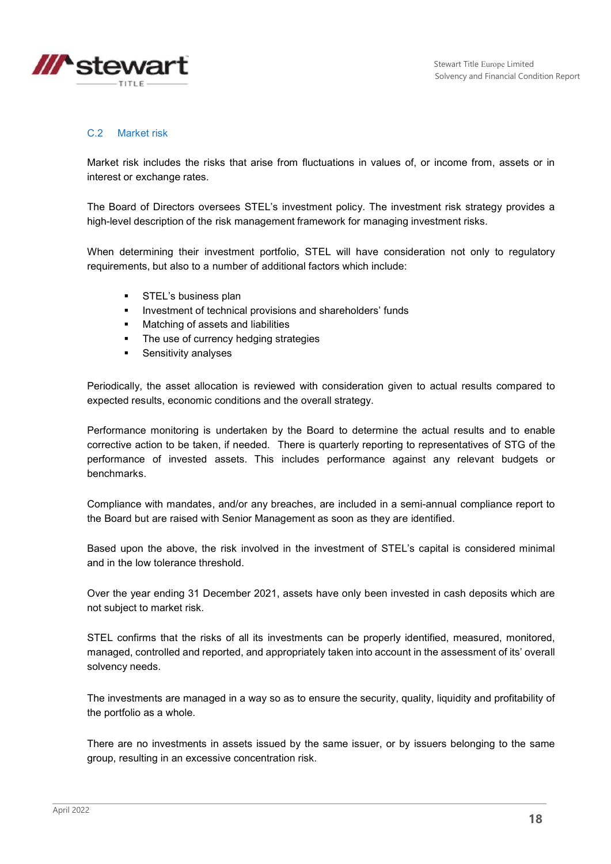

### C.2 Market risk

Market risk includes the risks that arise from fluctuations in values of, or income from, assets or in interest or exchange rates.

The Board of Directors oversees STEL's investment policy. The investment risk strategy provides a high-level description of the risk management framework for managing investment risks.

When determining their investment portfolio, STEL will have consideration not only to regulatory requirements, but also to a number of additional factors which include:

- **STEL's business plan**
- **Investment of technical provisions and shareholders' funds**
- **•** Matching of assets and liabilities
- The use of currency hedging strategies
- **Sensitivity analyses**

Periodically, the asset allocation is reviewed with consideration given to actual results compared to expected results, economic conditions and the overall strategy.

Performance monitoring is undertaken by the Board to determine the actual results and to enable corrective action to be taken, if needed. There is quarterly reporting to representatives of STG of the performance of invested assets. This includes performance against any relevant budgets or benchmarks.

Compliance with mandates, and/or any breaches, are included in a semi-annual compliance report to the Board but are raised with Senior Management as soon as they are identified.

Based upon the above, the risk involved in the investment of STEL's capital is considered minimal and in the low tolerance threshold.

Over the year ending 31 December 2021, assets have only been invested in cash deposits which are not subject to market risk.

STEL confirms that the risks of all its investments can be properly identified, measured, monitored, managed, controlled and reported, and appropriately taken into account in the assessment of its' overall solvency needs.

The investments are managed in a way so as to ensure the security, quality, liquidity and profitability of the portfolio as a whole.

There are no investments in assets issued by the same issuer, or by issuers belonging to the same group, resulting in an excessive concentration risk.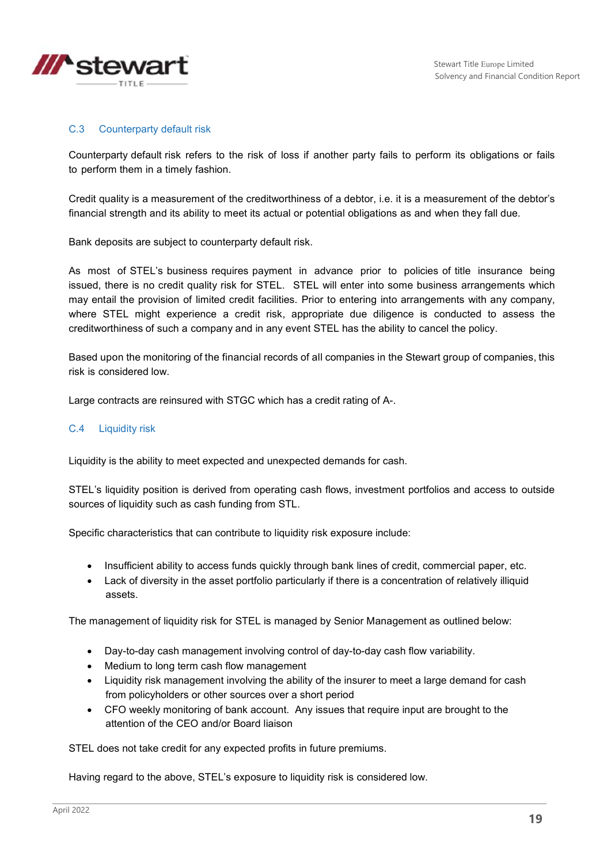

### C.3 Counterparty default risk

Counterparty default risk refers to the risk of loss if another party fails to perform its obligations or fails to perform them in a timely fashion.

Credit quality is a measurement of the creditworthiness of a debtor, i.e. it is a measurement of the debtor's financial strength and its ability to meet its actual or potential obligations as and when they fall due.

Bank deposits are subject to counterparty default risk.

As most of STEL's business requires payment in advance prior to policies of title insurance being issued, there is no credit quality risk for STEL. STEL will enter into some business arrangements which may entail the provision of limited credit facilities. Prior to entering into arrangements with any company, where STEL might experience a credit risk, appropriate due diligence is conducted to assess the creditworthiness of such a company and in any event STEL has the ability to cancel the policy.

Based upon the monitoring of the financial records of all companies in the Stewart group of companies, this risk is considered low.

Large contracts are reinsured with STGC which has a credit rating of A-.

### C.4 Liquidity risk

Liquidity is the ability to meet expected and unexpected demands for cash.

STEL's liquidity position is derived from operating cash flows, investment portfolios and access to outside sources of liquidity such as cash funding from STL.

Specific characteristics that can contribute to liquidity risk exposure include:

- Insufficient ability to access funds quickly through bank lines of credit, commercial paper, etc.
- Lack of diversity in the asset portfolio particularly if there is a concentration of relatively illiquid assets.

The management of liquidity risk for STEL is managed by Senior Management as outlined below:

- Day-to-day cash management involving control of day-to-day cash flow variability.
- Medium to long term cash flow management
- Liquidity risk management involving the ability of the insurer to meet a large demand for cash from policyholders or other sources over a short period
- CFO weekly monitoring of bank account. Any issues that require input are brought to the attention of the CEO and/or Board liaison

STEL does not take credit for any expected profits in future premiums.

Having regard to the above, STEL's exposure to liquidity risk is considered low.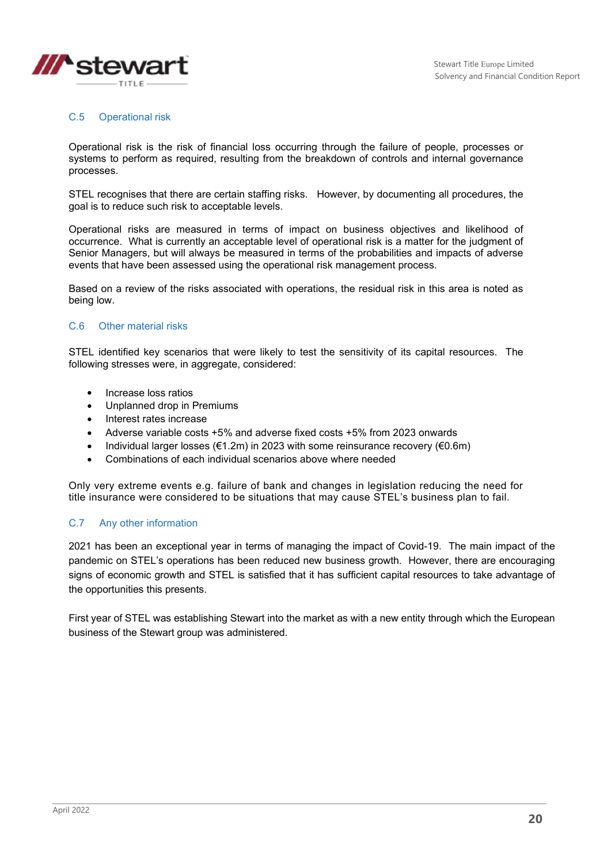

### C.5 Operational risk

Operational risk is the risk of financial loss occurring through the failure of people, processes or systems to perform as required, resulting from the breakdown of controls and internal governance processes.

STEL recognises that there are certain staffing risks. However, by documenting all procedures, the goal is to reduce such risk to acceptable levels.

Operational risks are measured in terms of impact on business objectives and likelihood of occurrence. What is currently an acceptable level of operational risk is a matter for the judgment of Senior Managers, but will always be measured in terms of the probabilities and impacts of adverse events that have been assessed using the operational risk management process.

Based on a review of the risks associated with operations, the residual risk in this area is noted as being low.

#### C.6 Other material risks

STEL identified key scenarios that were likely to test the sensitivity of its capital resources. The following stresses were, in aggregate, considered:

- Increase loss ratios
- Unplanned drop in Premiums
- Interest rates increase
- Adverse variable costs +5% and adverse fixed costs +5% from 2023 onwards
- Individual larger losses ( $\epsilon$ 1.2m) in 2023 with some reinsurance recovery ( $\epsilon$ 0.6m)
- Combinations of each individual scenarios above where needed

Only very extreme events e.g. failure of bank and changes in legislation reducing the need for title insurance were considered to be situations that may cause STEL's business plan to fail.

#### C.7 Any other information

2021 has been an exceptional year in terms of managing the impact of Covid-19. The main impact of the pandemic on STEL's operations has been reduced new business growth. However, there are encouraging signs of economic growth and STEL is satisfied that it has sufficient capital resources to take advantage of the opportunities this presents.

First year of STEL was establishing Stewart into the market as with a new entity through which the European business of the Stewart group was administered.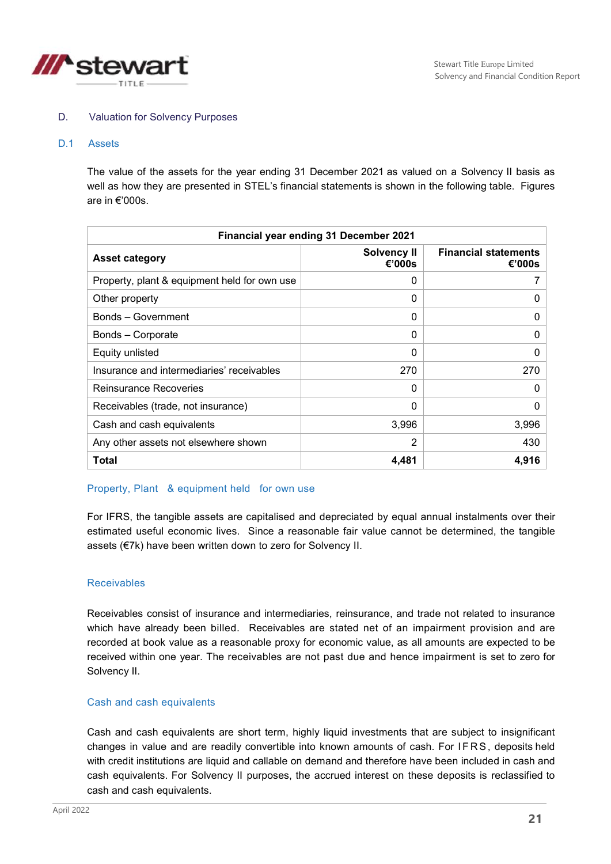

#### D. Valuation for Solvency Purposes

#### D.1 Assets

The value of the assets for the year ending 31 December 2021 as valued on a Solvency II basis as well as how they are presented in STEL's financial statements is shown in the following table. Figures are in €'000s.

| Financial year ending 31 December 2021       |                              |                                       |  |  |
|----------------------------------------------|------------------------------|---------------------------------------|--|--|
| <b>Asset category</b>                        | <b>Solvency II</b><br>€'000s | <b>Financial statements</b><br>€'000s |  |  |
| Property, plant & equipment held for own use | $\Omega$                     |                                       |  |  |
| Other property                               | $\Omega$                     | 0                                     |  |  |
| Bonds - Government                           | 0                            | $\Omega$                              |  |  |
| Bonds – Corporate                            | $\Omega$                     | $\Omega$                              |  |  |
| Equity unlisted                              | 0                            | 0                                     |  |  |
| Insurance and intermediaries' receivables    | 270                          | 270                                   |  |  |
| <b>Reinsurance Recoveries</b>                | 0                            | 0                                     |  |  |
| Receivables (trade, not insurance)           | $\Omega$                     | $\Omega$                              |  |  |
| Cash and cash equivalents                    | 3,996                        | 3,996                                 |  |  |
| Any other assets not elsewhere shown         | $\overline{2}$               | 430                                   |  |  |
| Total                                        | 4,481                        | 4,916                                 |  |  |

#### Property, Plant & equipment held for own use

For IFRS, the tangible assets are capitalised and depreciated by equal annual instalments over their estimated useful economic lives. Since a reasonable fair value cannot be determined, the tangible assets (€7k) have been written down to zero for Solvency II.

#### Receivables

Receivables consist of insurance and intermediaries, reinsurance, and trade not related to insurance which have already been billed. Receivables are stated net of an impairment provision and are recorded at book value as a reasonable proxy for economic value, as all amounts are expected to be received within one year. The receivables are not past due and hence impairment is set to zero for Solvency II.

#### Cash and cash equivalents

Cash and cash equivalents are short term, highly liquid investments that are subject to insignificant changes in value and are readily convertible into known amounts of cash. For IFRS, deposits held with credit institutions are liquid and callable on demand and therefore have been included in cash and cash equivalents. For Solvency II purposes, the accrued interest on these deposits is reclassified to cash and cash equivalents.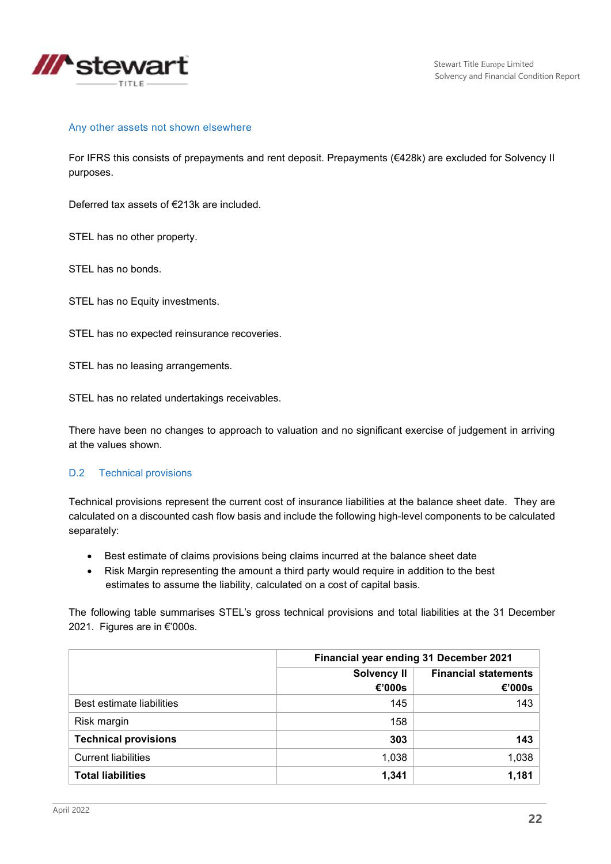

#### Any other assets not shown elsewhere

For IFRS this consists of prepayments and rent deposit. Prepayments (€428k) are excluded for Solvency II purposes.

Deferred tax assets of €213k are included.

STEL has no other property.

STEL has no bonds.

STEL has no Equity investments.

STEL has no expected reinsurance recoveries.

STEL has no leasing arrangements.

STEL has no related undertakings receivables.

There have been no changes to approach to valuation and no significant exercise of judgement in arriving at the values shown.

#### D.2 Technical provisions

Technical provisions represent the current cost of insurance liabilities at the balance sheet date. They are calculated on a discounted cash flow basis and include the following high-level components to be calculated separately:

- Best estimate of claims provisions being claims incurred at the balance sheet date
- Risk Margin representing the amount a third party would require in addition to the best estimates to assume the liability, calculated on a cost of capital basis.

The following table summarises STEL's gross technical provisions and total liabilities at the 31 December 2021. Figures are in €'000s.

|                             | Financial year ending 31 December 2021 |                                       |  |
|-----------------------------|----------------------------------------|---------------------------------------|--|
|                             | <b>Solvency II</b><br>€'000s           | <b>Financial statements</b><br>€'000s |  |
| Best estimate liabilities   | 145                                    | 143                                   |  |
| Risk margin                 | 158                                    |                                       |  |
| <b>Technical provisions</b> | 303                                    | 143                                   |  |
| <b>Current liabilities</b>  | 1,038                                  | 1,038                                 |  |
| <b>Total liabilities</b>    | 1,341                                  | 1,181                                 |  |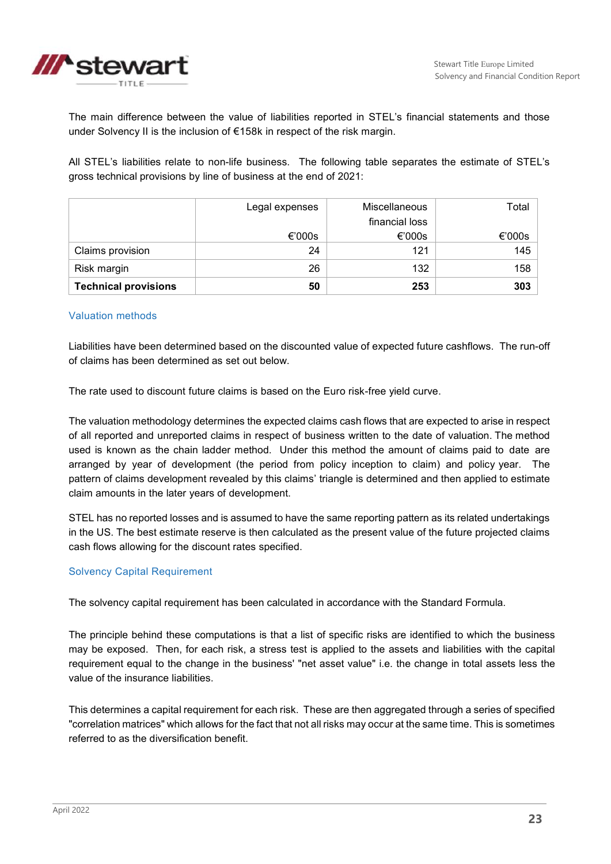

The main difference between the value of liabilities reported in STEL's financial statements and those under Solvency II is the inclusion of €158k in respect of the risk margin.

All STEL's liabilities relate to non-life business. The following table separates the estimate of STEL's gross technical provisions by line of business at the end of 2021:

|                             | Legal expenses | <b>Miscellaneous</b> | Total  |
|-----------------------------|----------------|----------------------|--------|
|                             |                | financial loss       |        |
|                             | €'000s         | €'000s               | €'000s |
| Claims provision            | 24             | 121                  | 145    |
| Risk margin                 | 26             | 132                  | 158    |
| <b>Technical provisions</b> | 50             | 253                  | 303    |

#### Valuation methods

Liabilities have been determined based on the discounted value of expected future cashflows. The run-off of claims has been determined as set out below.

The rate used to discount future claims is based on the Euro risk-free yield curve.

The valuation methodology determines the expected claims cash flows that are expected to arise in respect of all reported and unreported claims in respect of business written to the date of valuation. The method used is known as the chain ladder method. Under this method the amount of claims paid to date are arranged by year of development (the period from policy inception to claim) and policy year. The pattern of claims development revealed by this claims' triangle is determined and then applied to estimate claim amounts in the later years of development.

STEL has no reported losses and is assumed to have the same reporting pattern as its related undertakings in the US. The best estimate reserve is then calculated as the present value of the future projected claims cash flows allowing for the discount rates specified.

#### Solvency Capital Requirement

The solvency capital requirement has been calculated in accordance with the Standard Formula.

The principle behind these computations is that a list of specific risks are identified to which the business may be exposed. Then, for each risk, a stress test is applied to the assets and liabilities with the capital requirement equal to the change in the business' "net asset value" i.e. the change in total assets less the value of the insurance liabilities.

This determines a capital requirement for each risk. These are then aggregated through a series of specified "correlation matrices" which allows for the fact that not all risks may occur at the same time. This is sometimes referred to as the diversification benefit.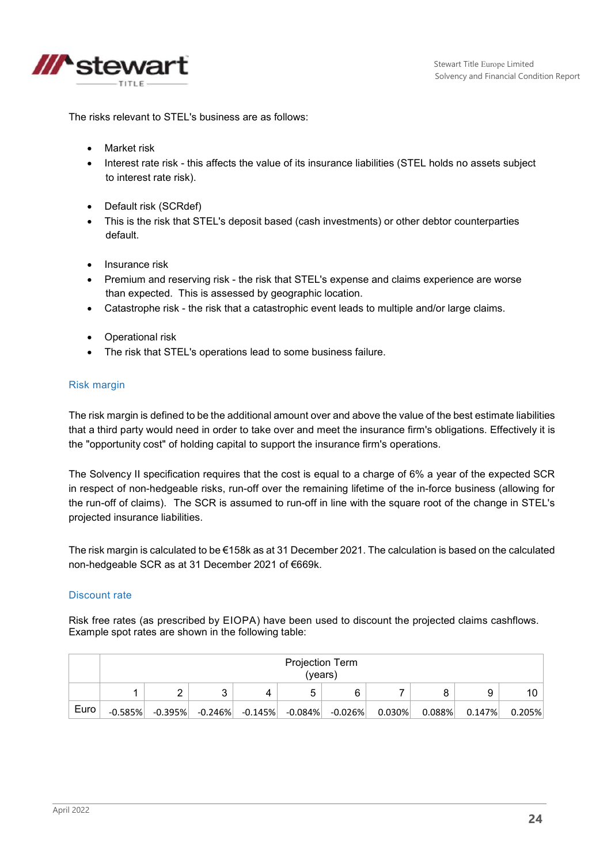

The risks relevant to STEL's business are as follows:

- Market risk
- Interest rate risk this affects the value of its insurance liabilities (STEL holds no assets subject to interest rate risk).
- Default risk (SCRdef)
- This is the risk that STEL's deposit based (cash investments) or other debtor counterparties default.
- Insurance risk
- Premium and reserving risk the risk that STEL's expense and claims experience are worse than expected. This is assessed by geographic location.
- Catastrophe risk the risk that a catastrophic event leads to multiple and/or large claims.
- Operational risk
- The risk that STEL's operations lead to some business failure.

#### Risk margin

The risk margin is defined to be the additional amount over and above the value of the best estimate liabilities that a third party would need in order to take over and meet the insurance firm's obligations. Effectively it is the "opportunity cost" of holding capital to support the insurance firm's operations.

The Solvency II specification requires that the cost is equal to a charge of 6% a year of the expected SCR in respect of non-hedgeable risks, run-off over the remaining lifetime of the in-force business (allowing for the run-off of claims). The SCR is assumed to run-off in line with the square root of the change in STEL's projected insurance liabilities.

The risk margin is calculated to be €158k as at 31 December 2021. The calculation is based on the calculated non-hedgeable SCR as at 31 December 2021 of €669k.

#### Discount rate

Risk free rates (as prescribed by EIOPA) have been used to discount the projected claims cashflows. Example spot rates are shown in the following table:

|      | <b>Projection Term</b><br>(years) |  |                                                        |  |  |           |           |           |           |
|------|-----------------------------------|--|--------------------------------------------------------|--|--|-----------|-----------|-----------|-----------|
|      |                                   |  |                                                        |  |  |           |           |           | 10        |
| Euro | $-0.585%$                         |  | $-0.395\%$ $-0.246\%$ $-0.145\%$ $-0.084\%$ $-0.026\%$ |  |  | $0.030\%$ | $0.088\%$ | $0.147\%$ | $0.205\%$ |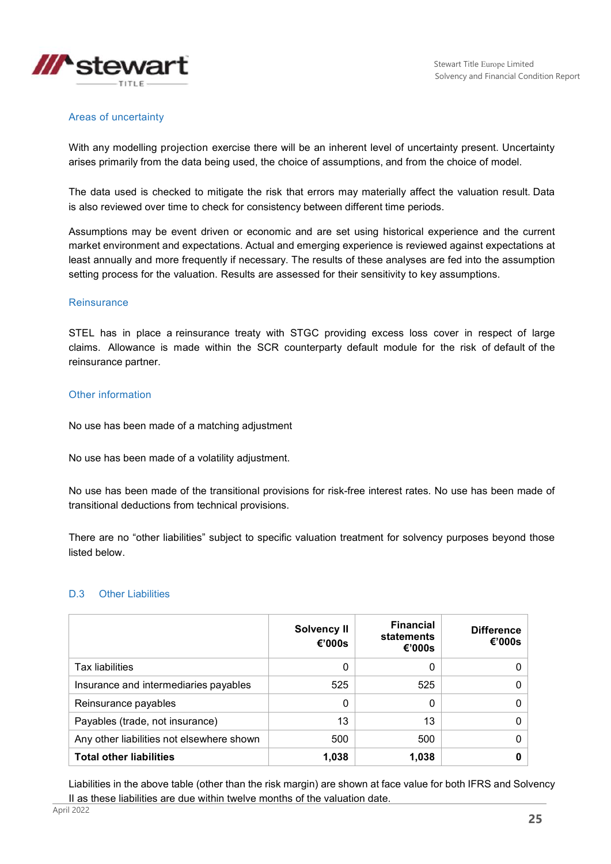

#### Areas of uncertainty

With any modelling projection exercise there will be an inherent level of uncertainty present. Uncertainty arises primarily from the data being used, the choice of assumptions, and from the choice of model.

The data used is checked to mitigate the risk that errors may materially affect the valuation result. Data is also reviewed over time to check for consistency between different time periods.

Assumptions may be event driven or economic and are set using historical experience and the current market environment and expectations. Actual and emerging experience is reviewed against expectations at least annually and more frequently if necessary. The results of these analyses are fed into the assumption setting process for the valuation. Results are assessed for their sensitivity to key assumptions.

#### **Reinsurance**

STEL has in place a reinsurance treaty with STGC providing excess loss cover in respect of large claims. Allowance is made within the SCR counterparty default module for the risk of default of the reinsurance partner.

#### Other information

No use has been made of a matching adjustment

No use has been made of a volatility adjustment.

No use has been made of the transitional provisions for risk-free interest rates. No use has been made of transitional deductions from technical provisions.

There are no "other liabilities" subject to specific valuation treatment for solvency purposes beyond those listed below.

#### D.3 Other Liabilities

|                                           | Solvency II<br>€'000s | <b>Financial</b><br>statements<br>€'000s | <b>Difference</b><br>€'000s |
|-------------------------------------------|-----------------------|------------------------------------------|-----------------------------|
| <b>Tax liabilities</b>                    | 0                     | 0                                        |                             |
| Insurance and intermediaries payables     | 525                   | 525                                      |                             |
| Reinsurance payables                      | 0                     | 0                                        |                             |
| Payables (trade, not insurance)           | 13                    | 13                                       |                             |
| Any other liabilities not elsewhere shown | 500                   | 500                                      |                             |
| <b>Total other liabilities</b>            | 1,038                 | 1,038                                    |                             |

Liabilities in the above table (other than the risk margin) are shown at face value for both IFRS and Solvency II as these liabilities are due within twelve months of the valuation date.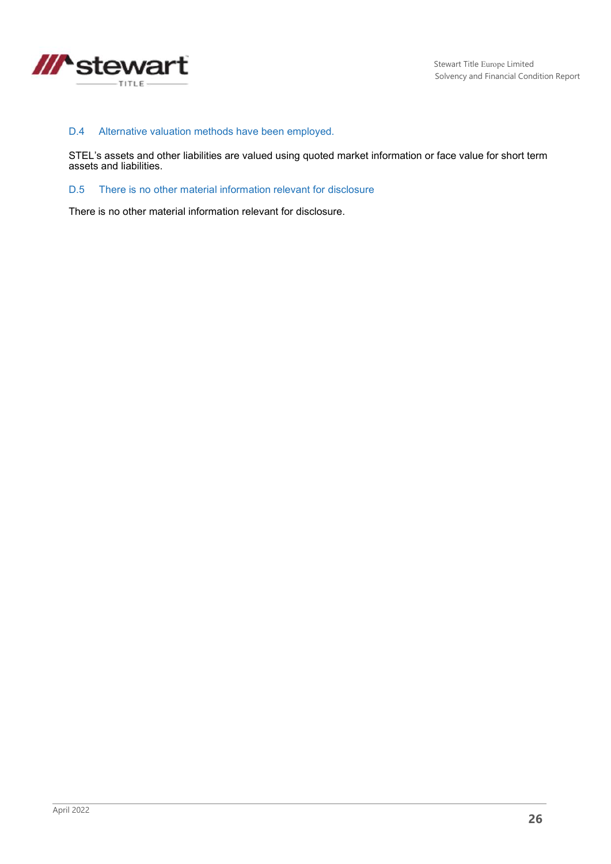

### D.4 Alternative valuation methods have been employed.

STEL's assets and other liabilities are valued using quoted market information or face value for short term assets and liabilities.

### D.5 There is no other material information relevant for disclosure

There is no other material information relevant for disclosure.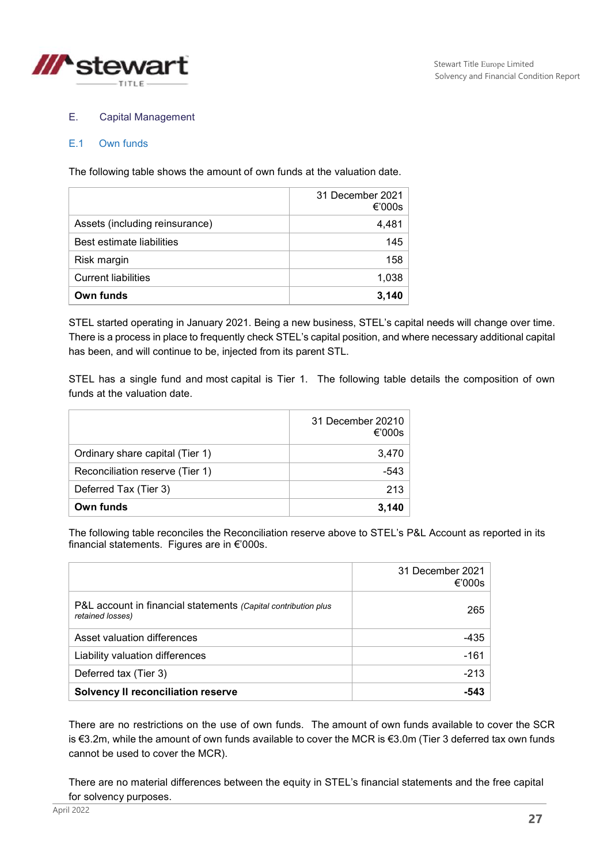

### E. Capital Management

#### E.1 Own funds

The following table shows the amount of own funds at the valuation date.

|                                | 31 December 2021<br>€'000s |
|--------------------------------|----------------------------|
| Assets (including reinsurance) | 4,481                      |
| Best estimate liabilities      | 145                        |
| Risk margin                    | 158                        |
| <b>Current liabilities</b>     | 1,038                      |
| Own funds                      | 3.140                      |

STEL started operating in January 2021. Being a new business, STEL's capital needs will change over time. There is a process in place to frequently check STEL's capital position, and where necessary additional capital has been, and will continue to be, injected from its parent STL.

STEL has a single fund and most capital is Tier 1. The following table details the composition of own funds at the valuation date.

|                                 | 31 December 20210<br>€'000s |
|---------------------------------|-----------------------------|
| Ordinary share capital (Tier 1) | 3,470                       |
| Reconciliation reserve (Tier 1) | -543                        |
| Deferred Tax (Tier 3)           | 213                         |
| Own funds                       | 3.140                       |

The following table reconciles the Reconciliation reserve above to STEL's P&L Account as reported in its financial statements. Figures are in €'000s.

|                                                                                    | 31 December 2021<br>€'000s |
|------------------------------------------------------------------------------------|----------------------------|
| P&L account in financial statements (Capital contribution plus<br>retained losses) | 265                        |
| Asset valuation differences                                                        | -435                       |
| Liability valuation differences                                                    | $-161$                     |
| Deferred tax (Tier 3)                                                              | $-213$                     |
| <b>Solvency II reconciliation reserve</b>                                          |                            |

There are no restrictions on the use of own funds. The amount of own funds available to cover the SCR is €3.2m, while the amount of own funds available to cover the MCR is €3.0m (Tier 3 deferred tax own funds cannot be used to cover the MCR).

There are no material differences between the equity in STEL's financial statements and the free capital for solvency purposes.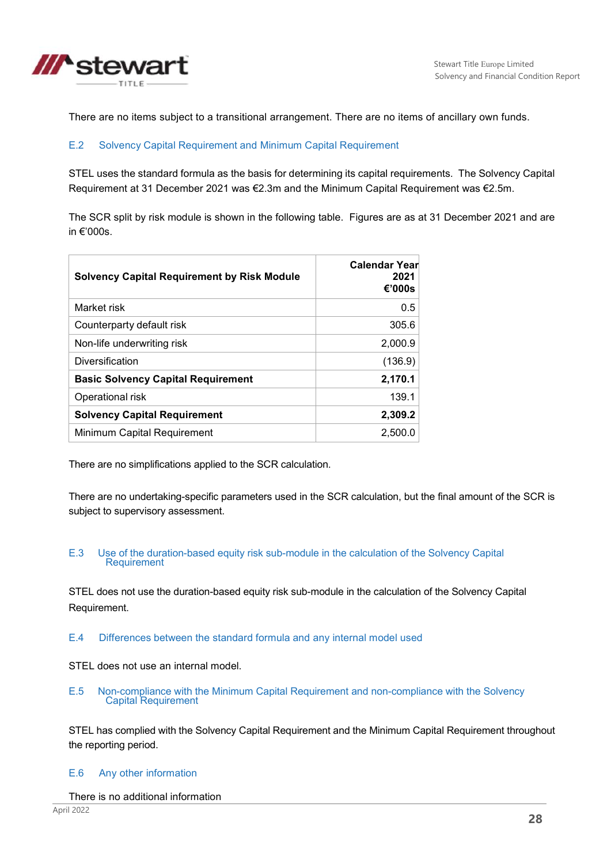

There are no items subject to a transitional arrangement. There are no items of ancillary own funds.

### E.2 Solvency Capital Requirement and Minimum Capital Requirement

STEL uses the standard formula as the basis for determining its capital requirements. The Solvency Capital Requirement at 31 December 2021 was €2.3m and the Minimum Capital Requirement was €2.5m.

The SCR split by risk module is shown in the following table. Figures are as at 31 December 2021 and are in €'000s.

| <b>Solvency Capital Requirement by Risk Module</b> | <b>Calendar Year</b><br>2021<br>€'000s |
|----------------------------------------------------|----------------------------------------|
| Market risk                                        | 0.5                                    |
| Counterparty default risk                          | 305.6                                  |
| Non-life underwriting risk                         | 2,000.9                                |
| Diversification                                    | (136.9)                                |
| <b>Basic Solvency Capital Requirement</b>          | 2,170.1                                |
| Operational risk                                   | 139.1                                  |
| <b>Solvency Capital Requirement</b>                | 2,309.2                                |
| Minimum Capital Requirement                        | 2,500.0                                |

There are no simplifications applied to the SCR calculation.

There are no undertaking-specific parameters used in the SCR calculation, but the final amount of the SCR is subject to supervisory assessment.

#### E.3 Use of the duration-based equity risk sub-module in the calculation of the Solvency Capital **Requirement**

STEL does not use the duration-based equity risk sub-module in the calculation of the Solvency Capital Requirement.

### E.4 Differences between the standard formula and any internal model used

STEL does not use an internal model.

E.5 Non-compliance with the Minimum Capital Requirement and non-compliance with the Solvency Capital Requirement

STEL has complied with the Solvency Capital Requirement and the Minimum Capital Requirement throughout the reporting period.

#### E.6 Any other information

There is no additional information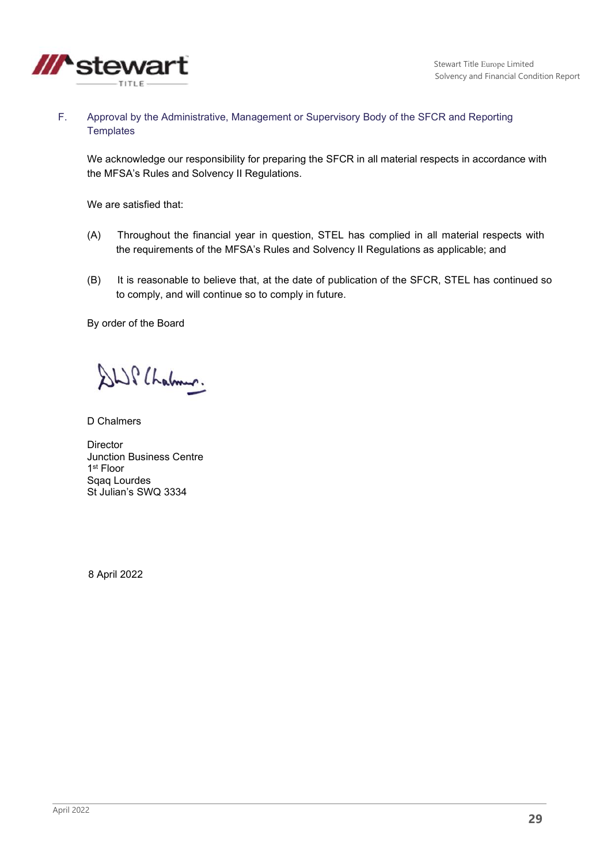

F. Approval by the Administrative, Management or Supervisory Body of the SFCR and Reporting **Templates** 

We acknowledge our responsibility for preparing the SFCR in all material respects in accordance with the MFSA's Rules and Solvency II Regulations.

We are satisfied that:

- (A) Throughout the financial year in question, STEL has complied in all material respects with the requirements of the MFSA's Rules and Solvency II Regulations as applicable; and
- (B) It is reasonable to believe that, at the date of publication of the SFCR, STEL has continued so to comply, and will continue so to comply in future.

By order of the Board

SWP Chalmen.

D Chalmers

**Director** Junction Business Centre 1 st Floor Sqaq Lourdes St Julian's SWQ 3334

8 April 2022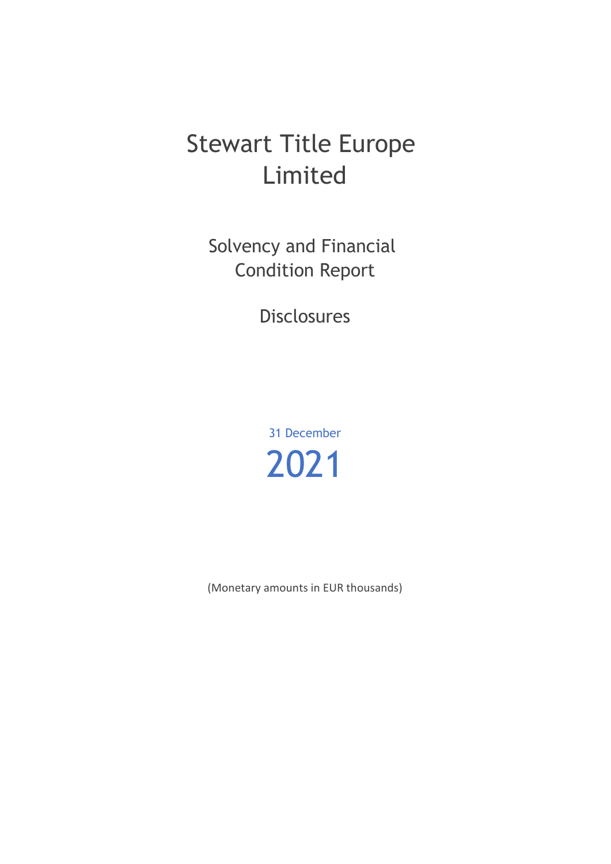# Stewart Title Europe Limited

Solvency and Financial Condition Report

**Disclosures** 

31 December 2021

(Monetary amounts in EUR thousands)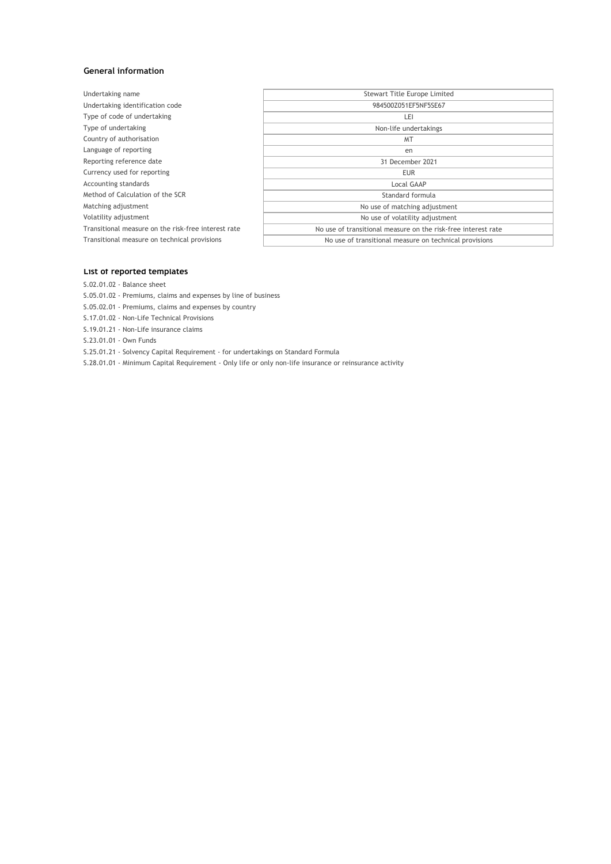#### **General information**

| Undertaking name                                    | <b>Stewart Title Europe Limited</b>                           |
|-----------------------------------------------------|---------------------------------------------------------------|
| Undertaking identification code                     | 984500Z051EF5NF5SE67                                          |
| Type of code of undertaking                         | LEI                                                           |
| Type of undertaking                                 | Non-life undertakings                                         |
| Country of authorisation                            | <b>MT</b>                                                     |
| Language of reporting                               | en                                                            |
| Reporting reference date                            | 31 December 2021                                              |
| Currency used for reporting                         | <b>EUR</b>                                                    |
| Accounting standards                                | Local GAAP                                                    |
| Method of Calculation of the SCR                    | Standard formula                                              |
| Matching adjustment                                 | No use of matching adjustment                                 |
| Volatility adjustment                               | No use of volatility adjustment                               |
| Transitional measure on the risk-free interest rate | No use of transitional measure on the risk-free interest rate |
| Transitional measure on technical provisions        | No use of transitional measure on technical provisions        |
|                                                     |                                                               |

#### **List of reported templates**

S.02.01.02 - Balance sheet

- S.05.01.02 Premiums, claims and expenses by line of business
- S.05.02.01 Premiums, claims and expenses by country
- S.17.01.02 Non-Life Technical Provisions
- S.19.01.21 Non-Life insurance claims
- S.23.01.01 Own Funds

S.25.01.21 - Solvency Capital Requirement - for undertakings on Standard Formula

S.28.01.01 - Minimum Capital Requirement - Only life or only non-life insurance or reinsurance activity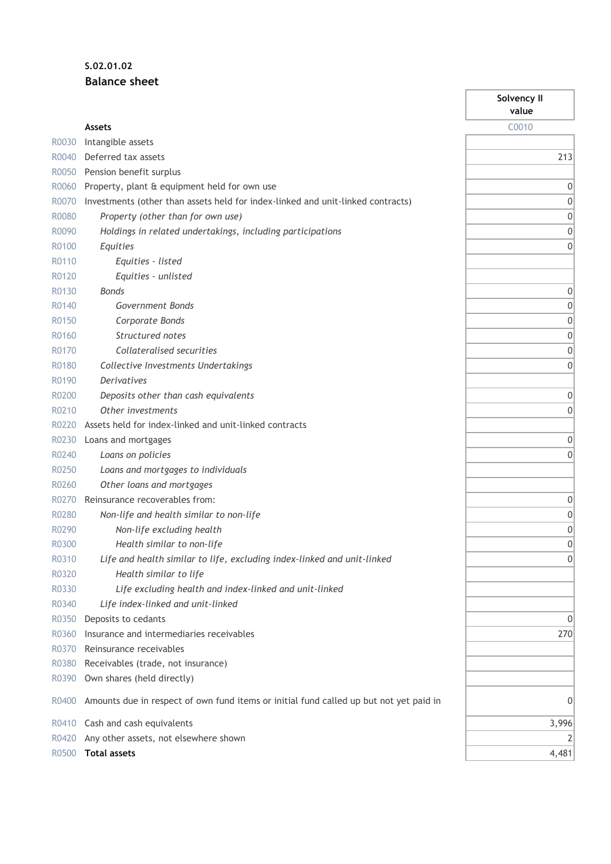## **S.02.01.02 Balance sheet**

|       |                                                                                        | Solvency II<br>value |
|-------|----------------------------------------------------------------------------------------|----------------------|
|       | <b>Assets</b>                                                                          | C0010                |
| R0030 | Intangible assets                                                                      |                      |
| R0040 | Deferred tax assets                                                                    | 213                  |
| R0050 | Pension benefit surplus                                                                |                      |
| R0060 | Property, plant & equipment held for own use                                           | 0                    |
| R0070 | Investments (other than assets held for index-linked and unit-linked contracts)        | 0                    |
| R0080 | Property (other than for own use)                                                      | 0                    |
| R0090 | Holdings in related undertakings, including participations                             | 0                    |
| R0100 | Equities                                                                               | $\mathbf{0}$         |
| R0110 | Equities - listed                                                                      |                      |
| R0120 | Equities - unlisted                                                                    |                      |
| R0130 | <b>Bonds</b>                                                                           | 0                    |
| R0140 | Government Bonds                                                                       | 0                    |
| R0150 | Corporate Bonds                                                                        | 0                    |
| R0160 | Structured notes                                                                       | 0                    |
| R0170 | Collateralised securities                                                              | 0                    |
| R0180 | Collective Investments Undertakings                                                    | 0                    |
| R0190 | <b>Derivatives</b>                                                                     |                      |
| R0200 | Deposits other than cash equivalents                                                   | 0                    |
| R0210 | Other investments                                                                      | 0                    |
| R0220 | Assets held for index-linked and unit-linked contracts                                 |                      |
| R0230 | Loans and mortgages                                                                    | 0                    |
| R0240 | Loans on policies                                                                      | 0                    |
| R0250 | Loans and mortgages to individuals                                                     |                      |
| R0260 | Other loans and mortgages                                                              |                      |
| R0270 | Reinsurance recoverables from:                                                         | 0                    |
| R0280 | Non-life and health similar to non-life                                                | 0                    |
| R0290 | Non-life excluding health                                                              | 0                    |
| R0300 | Health similar to non-life                                                             | $\mathbf{0}$         |
| R0310 | Life and health similar to life, excluding index-linked and unit-linked                | 0                    |
| R0320 | Health similar to life                                                                 |                      |
| R0330 | Life excluding health and index-linked and unit-linked                                 |                      |
| R0340 | Life index-linked and unit-linked                                                      |                      |
| R0350 | Deposits to cedants                                                                    | 0                    |
| R0360 | Insurance and intermediaries receivables                                               | 270                  |
| R0370 | Reinsurance receivables                                                                |                      |
| R0380 | Receivables (trade, not insurance)                                                     |                      |
| R0390 | Own shares (held directly)                                                             |                      |
| R0400 | Amounts due in respect of own fund items or initial fund called up but not yet paid in | 0                    |
| R0410 | Cash and cash equivalents                                                              | 3,996                |
| R0420 | Any other assets, not elsewhere shown                                                  | 2                    |
| R0500 | <b>Total assets</b>                                                                    | 4,481                |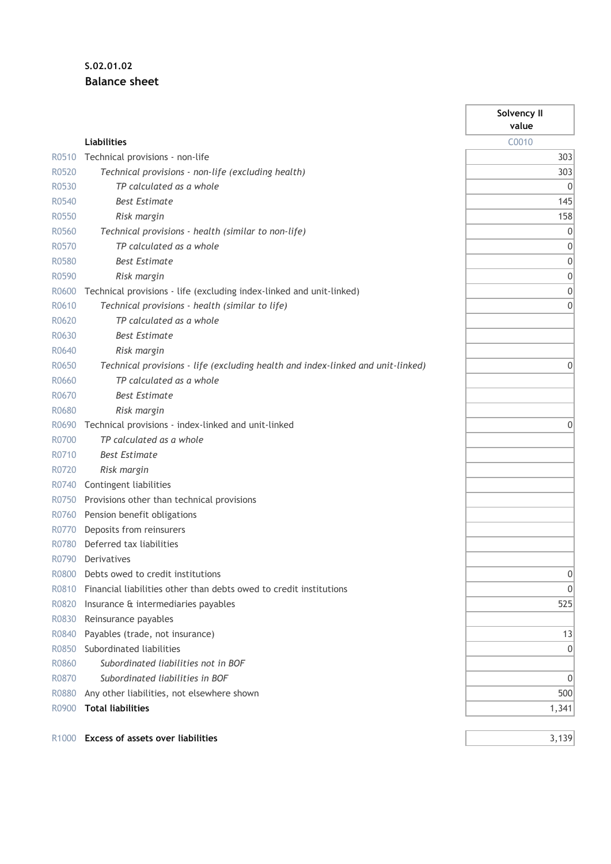## **S.02.01.02 Balance sheet**

|                   |                                                                                 | Solvency II<br>value |
|-------------------|---------------------------------------------------------------------------------|----------------------|
|                   | <b>Liabilities</b>                                                              | C0010                |
| R0510             | Technical provisions - non-life                                                 | 303                  |
| R0520             | Technical provisions - non-life (excluding health)                              | 303                  |
| R0530             | TP calculated as a whole                                                        | $\mathbf 0$          |
| R0540             | <b>Best Estimate</b>                                                            | 145                  |
| R0550             | Risk margin                                                                     | 158                  |
| R0560             | Technical provisions - health (similar to non-life)                             | 0                    |
| R0570             | TP calculated as a whole                                                        | 0                    |
| R0580             | <b>Best Estimate</b>                                                            | 0                    |
| R0590             | Risk margin                                                                     | 0                    |
| R0600             | Technical provisions - life (excluding index-linked and unit-linked)            | 0                    |
| R0610             | Technical provisions - health (similar to life)                                 | 0                    |
| R0620             | TP calculated as a whole                                                        |                      |
| R0630             | <b>Best Estimate</b>                                                            |                      |
| R0640             | Risk margin                                                                     |                      |
| R0650             | Technical provisions - life (excluding health and index-linked and unit-linked) | 0                    |
| R0660             | TP calculated as a whole                                                        |                      |
| R0670             | <b>Best Estimate</b>                                                            |                      |
| R0680             | Risk margin                                                                     |                      |
| R0690             | Technical provisions - index-linked and unit-linked                             | 0                    |
| R0700             | TP calculated as a whole                                                        |                      |
| R0710             | <b>Best Estimate</b>                                                            |                      |
| R0720             | Risk margin                                                                     |                      |
| R0740             | Contingent liabilities                                                          |                      |
| R0750             | Provisions other than technical provisions                                      |                      |
| R0760             | Pension benefit obligations                                                     |                      |
| R0770             | Deposits from reinsurers                                                        |                      |
| R0780             | Deferred tax liabilities                                                        |                      |
| R0790             | Derivatives                                                                     |                      |
| R0800             | Debts owed to credit institutions                                               | 0                    |
| R0810             | Financial liabilities other than debts owed to credit institutions              | 0                    |
| R0820             | Insurance & intermediaries payables                                             | 525                  |
| R0830             | Reinsurance payables                                                            |                      |
| R0840             | Payables (trade, not insurance)                                                 | 13                   |
| R0850             | Subordinated liabilities                                                        | 0                    |
| R0860             | Subordinated liabilities not in BOF                                             |                      |
| R0870             | Subordinated liabilities in BOF                                                 | 0                    |
| R0880             | Any other liabilities, not elsewhere shown                                      | 500                  |
| R0900             | <b>Total liabilities</b>                                                        | 1,341                |
| R <sub>1000</sub> | <b>Excess of assets over liabilities</b>                                        | 3,139                |

 $\overline{\phantom{a}}$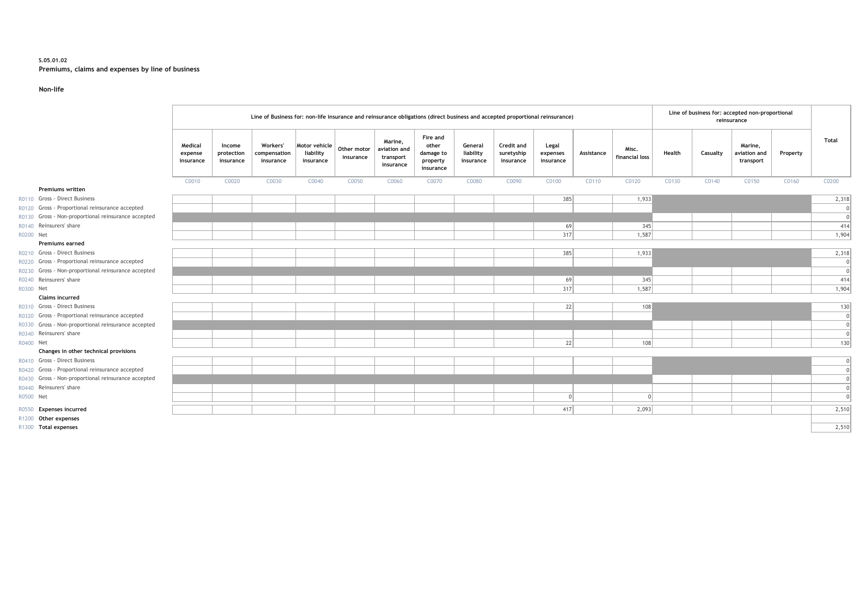#### **S.05.01.02 Premiums, claims and expenses by line of business**

#### **Non-life**

|           |                                                     | Line of business for: accepted non-proportional<br>Line of Business for: non-life insurance and reinsurance obligations (direct business and accepted proportional reinsurance)<br>reinsurance |                                   |                                       |                                         |                          |                                                   |                                                         |                                   |                                       |                                |            |                         |        |          |                                      |          |              |
|-----------|-----------------------------------------------------|------------------------------------------------------------------------------------------------------------------------------------------------------------------------------------------------|-----------------------------------|---------------------------------------|-----------------------------------------|--------------------------|---------------------------------------------------|---------------------------------------------------------|-----------------------------------|---------------------------------------|--------------------------------|------------|-------------------------|--------|----------|--------------------------------------|----------|--------------|
|           |                                                     | Medical<br>expense<br>insurance                                                                                                                                                                | Income<br>protection<br>insurance | Workers'<br>compensation<br>insurance | Motor vehicle<br>liability<br>insurance | Other motor<br>insurance | Marine,<br>aviation and<br>transport<br>insurance | Fire and<br>other<br>damage to<br>property<br>insurance | General<br>liability<br>insurance | Credit and<br>suretyship<br>insurance | Legal<br>expenses<br>insurance | Assistance | Misc.<br>financial loss | Health | Casualty | Marine.<br>aviation and<br>transport | Property | <b>Total</b> |
|           |                                                     | C0010                                                                                                                                                                                          | C0020                             | C0030                                 | C0040                                   | C0050                    | C0060                                             | C0070                                                   | C0080                             | C0090                                 | C0100                          | C0110      | C0120                   | C0130  | C0140    | C0150                                | C0160    | C0200        |
|           | <b>Premiums written</b>                             |                                                                                                                                                                                                |                                   |                                       |                                         |                          |                                                   |                                                         |                                   |                                       |                                |            |                         |        |          |                                      |          |              |
|           | R0110 Gross - Direct Business                       |                                                                                                                                                                                                |                                   |                                       |                                         |                          |                                                   |                                                         |                                   |                                       | 385                            |            | 1,933                   |        |          |                                      |          | 2,318        |
|           | R0120 Gross - Proportional reinsurance accepted     |                                                                                                                                                                                                |                                   |                                       |                                         |                          |                                                   |                                                         |                                   |                                       |                                |            |                         |        |          |                                      |          | $\Omega$     |
|           | R0130 Gross - Non-proportional reinsurance accepted |                                                                                                                                                                                                |                                   |                                       |                                         |                          |                                                   |                                                         |                                   |                                       |                                |            |                         |        |          |                                      |          | $\Omega$     |
|           | R0140 Reinsurers' share                             |                                                                                                                                                                                                |                                   |                                       |                                         |                          |                                                   |                                                         |                                   |                                       | 69                             |            | 345                     |        |          |                                      |          | 414          |
| R0200 Net |                                                     |                                                                                                                                                                                                |                                   |                                       |                                         |                          |                                                   |                                                         |                                   |                                       | 317                            |            | 1,587                   |        |          |                                      |          | 1,904        |
|           | <b>Premiums earned</b>                              |                                                                                                                                                                                                |                                   |                                       |                                         |                          |                                                   |                                                         |                                   |                                       |                                |            |                         |        |          |                                      |          |              |
|           | R0210 Gross - Direct Business                       |                                                                                                                                                                                                |                                   |                                       |                                         |                          |                                                   |                                                         |                                   |                                       | 385                            |            | 1,933                   |        |          |                                      |          | 2,318        |
|           | R0220 Gross - Proportional reinsurance accepted     |                                                                                                                                                                                                |                                   |                                       |                                         |                          |                                                   |                                                         |                                   |                                       |                                |            |                         |        |          |                                      |          | $\cap$       |
|           | R0230 Gross - Non-proportional reinsurance accepted |                                                                                                                                                                                                |                                   |                                       |                                         |                          |                                                   |                                                         |                                   |                                       |                                |            |                         |        |          |                                      |          | $\Omega$     |
|           | R0240 Reinsurers' share                             |                                                                                                                                                                                                |                                   |                                       |                                         |                          |                                                   |                                                         |                                   |                                       | 69                             |            | 345                     |        |          |                                      |          | 414          |
| R0300 Net |                                                     |                                                                                                                                                                                                |                                   |                                       |                                         |                          |                                                   |                                                         |                                   |                                       | 317                            |            | 1,587                   |        |          |                                      |          | 1,904        |
|           | <b>Claims incurred</b>                              |                                                                                                                                                                                                |                                   |                                       |                                         |                          |                                                   |                                                         |                                   |                                       |                                |            |                         |        |          |                                      |          |              |
|           | R0310 Gross - Direct Business                       |                                                                                                                                                                                                |                                   |                                       |                                         |                          |                                                   |                                                         |                                   |                                       | 22                             |            | 108                     |        |          |                                      |          | 130          |
|           | R0320 Gross - Proportional reinsurance accepted     |                                                                                                                                                                                                |                                   |                                       |                                         |                          |                                                   |                                                         |                                   |                                       |                                |            |                         |        |          |                                      |          | $\Omega$     |
|           | R0330 Gross - Non-proportional reinsurance accepted |                                                                                                                                                                                                |                                   |                                       |                                         |                          |                                                   |                                                         |                                   |                                       |                                |            |                         |        |          |                                      |          | $\Omega$     |
|           | R0340 Reinsurers' share                             |                                                                                                                                                                                                |                                   |                                       |                                         |                          |                                                   |                                                         |                                   |                                       |                                |            |                         |        |          |                                      |          | $\Omega$     |
| R0400 Net |                                                     |                                                                                                                                                                                                |                                   |                                       |                                         |                          |                                                   |                                                         |                                   |                                       | 22                             |            | 108                     |        |          |                                      |          | 130          |
|           | Changes in other technical provisions               |                                                                                                                                                                                                |                                   |                                       |                                         |                          |                                                   |                                                         |                                   |                                       |                                |            |                         |        |          |                                      |          |              |
|           | R0410 Gross - Direct Business                       |                                                                                                                                                                                                |                                   |                                       |                                         |                          |                                                   |                                                         |                                   |                                       |                                |            |                         |        |          |                                      |          |              |
|           | R0420 Gross - Proportional reinsurance accepted     |                                                                                                                                                                                                |                                   |                                       |                                         |                          |                                                   |                                                         |                                   |                                       |                                |            |                         |        |          |                                      |          | $\Omega$     |
|           | R0430 Gross - Non-proportional reinsurance accepted |                                                                                                                                                                                                |                                   |                                       |                                         |                          |                                                   |                                                         |                                   |                                       |                                |            |                         |        |          |                                      |          |              |
|           | R0440 Reinsurers' share                             |                                                                                                                                                                                                |                                   |                                       |                                         |                          |                                                   |                                                         |                                   |                                       |                                |            |                         |        |          |                                      |          |              |
| R0500 Net |                                                     |                                                                                                                                                                                                |                                   |                                       |                                         |                          |                                                   |                                                         |                                   |                                       | $\Omega$                       |            | $\Omega$                |        |          |                                      |          | $\Omega$     |
|           | R0550 Expenses incurred                             |                                                                                                                                                                                                |                                   |                                       |                                         |                          |                                                   |                                                         |                                   |                                       | 417                            |            | 2,093                   |        |          |                                      |          | 2,510        |
|           | R1200 Other expenses                                |                                                                                                                                                                                                |                                   |                                       |                                         |                          |                                                   |                                                         |                                   |                                       |                                |            |                         |        |          |                                      |          |              |
|           | R1300 Total expenses                                |                                                                                                                                                                                                |                                   |                                       |                                         |                          |                                                   |                                                         |                                   |                                       |                                |            |                         |        |          |                                      |          | 2,510        |

#### **Changes in other technical provis**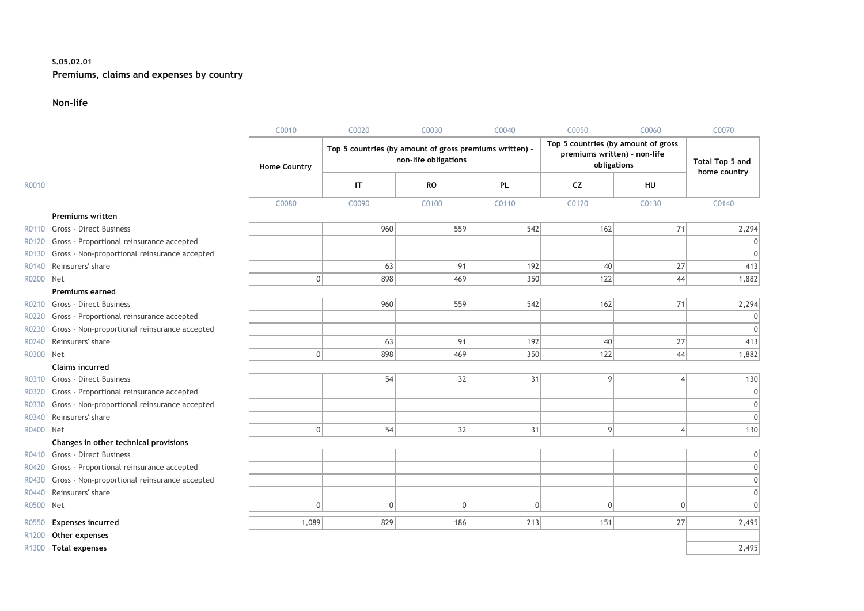### **S.05.02.01 Premiums, claims and expenses by country**

#### **Non-life**

|                   |                                               | C0010               | C0020                                                   | C0030                | C0040    | C0050                                                                              | C0060          | C0070                           |
|-------------------|-----------------------------------------------|---------------------|---------------------------------------------------------|----------------------|----------|------------------------------------------------------------------------------------|----------------|---------------------------------|
|                   |                                               | <b>Home Country</b> | Top 5 countries (by amount of gross premiums written) - | non-life obligations |          | Top 5 countries (by amount of gross<br>premiums written) - non-life<br>obligations |                | Total Top 5 and<br>home country |
| R0010             |                                               |                     | IT                                                      | <b>RO</b>            | PL       | <b>CZ</b>                                                                          | HU             |                                 |
|                   |                                               | C0080               | C0090                                                   | C0100                | C0110    | C0120                                                                              | C0130          | C0140                           |
|                   | Premiums written                              |                     |                                                         |                      |          |                                                                                    |                |                                 |
| R0110             | <b>Gross - Direct Business</b>                |                     | 960                                                     | 559                  | 542      | 162                                                                                | 71             | 2,294                           |
| R0120             | Gross - Proportional reinsurance accepted     |                     |                                                         |                      |          |                                                                                    |                |                                 |
| R0130             | Gross - Non-proportional reinsurance accepted |                     |                                                         |                      |          |                                                                                    |                | $\Omega$                        |
| R0140             | Reinsurers' share                             |                     | 63                                                      | 91                   | 192      | 40                                                                                 | 27             | 413                             |
| R0200             | Net                                           | $\overline{0}$      | 898                                                     | 469                  | 350      | 122                                                                                | 44             | 1,882                           |
|                   | <b>Premiums earned</b>                        |                     |                                                         |                      |          |                                                                                    |                |                                 |
| R0210             | Gross - Direct Business                       |                     | 960                                                     | 559                  | 542      | 162                                                                                | 71             | 2,294                           |
| R0220             | Gross - Proportional reinsurance accepted     |                     |                                                         |                      |          |                                                                                    |                |                                 |
| R0230             | Gross - Non-proportional reinsurance accepted |                     |                                                         |                      |          |                                                                                    |                | $\Omega$                        |
| R0240             | Reinsurers' share                             |                     | 63                                                      | 91                   | 192      | 40                                                                                 | 27             | 413                             |
| R0300             | Net                                           | $\Omega$            | 898                                                     | 469                  | 350      | 122                                                                                | 44             | 1,882                           |
|                   | <b>Claims incurred</b>                        |                     |                                                         |                      |          |                                                                                    |                |                                 |
| R0310             | Gross - Direct Business                       |                     | 54                                                      | 32                   | 31       | 9                                                                                  | 4              | 130                             |
| R0320             | Gross - Proportional reinsurance accepted     |                     |                                                         |                      |          |                                                                                    |                | $\overline{0}$                  |
| R0330             | Gross - Non-proportional reinsurance accepted |                     |                                                         |                      |          |                                                                                    |                | $\overline{0}$                  |
| R0340             | Reinsurers' share                             |                     |                                                         |                      |          |                                                                                    |                | $\Omega$                        |
| R0400             | Net                                           | $\Omega$            | 54                                                      | 32                   | 31       | $\overline{9}$                                                                     | $\overline{4}$ | 130                             |
|                   | Changes in other technical provisions         |                     |                                                         |                      |          |                                                                                    |                |                                 |
|                   | R0410 Gross - Direct Business                 |                     |                                                         |                      |          |                                                                                    |                | 0                               |
| R0420             | Gross - Proportional reinsurance accepted     |                     |                                                         |                      |          |                                                                                    |                | $\Omega$                        |
| R0430             | Gross - Non-proportional reinsurance accepted |                     |                                                         |                      |          |                                                                                    |                | $\Omega$                        |
| R0440             | Reinsurers' share                             |                     |                                                         |                      |          |                                                                                    |                | 0                               |
| R0500             | Net                                           | $\Omega$            | $\mathbf 0$                                             | $\mathbf{0}$         | $\Omega$ | $\overline{0}$                                                                     | 0              | $\Omega$                        |
| R0550             | <b>Expenses incurred</b>                      | 1,089               | 829                                                     | 186                  | 213      | 151                                                                                | 27             | 2,495                           |
| R <sub>1200</sub> | Other expenses                                |                     |                                                         |                      |          |                                                                                    |                |                                 |
|                   | R1300 Total expenses                          |                     |                                                         |                      |          |                                                                                    |                | 2,495                           |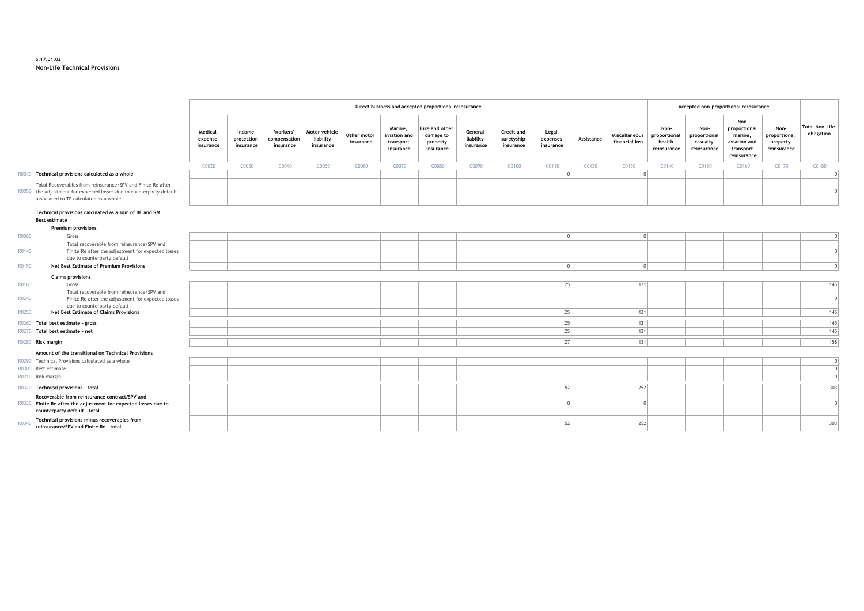#### **S.17.01.02 Non-Life Technical Provisions**

|       |                                                                                                                                                                               |                                 | Direct business and accepted proportional reinsurance |                                       |                                         |                          |                                                   |                                                      |                                   |                                       | Accepted non-proportional reinsurance |            |                                 |                                               |                                                 |                                                                             |                                                 |                                     |
|-------|-------------------------------------------------------------------------------------------------------------------------------------------------------------------------------|---------------------------------|-------------------------------------------------------|---------------------------------------|-----------------------------------------|--------------------------|---------------------------------------------------|------------------------------------------------------|-----------------------------------|---------------------------------------|---------------------------------------|------------|---------------------------------|-----------------------------------------------|-------------------------------------------------|-----------------------------------------------------------------------------|-------------------------------------------------|-------------------------------------|
|       |                                                                                                                                                                               | Medical<br>expense<br>insurance | Income<br>protection<br>insurance                     | Workers'<br>compensation<br>insurance | Motor vehicle<br>liability<br>insurance | Other motor<br>insurance | Marine,<br>aviation and<br>transport<br>insurance | Fire and other<br>damage to<br>property<br>insurance | General<br>liability<br>insurance | Credit and<br>suretyship<br>insurance | Legal<br>expenses<br>insurance        | Assistance | Miscellaneous<br>financial loss | Non-<br>proportional<br>health<br>reinsurance | Non-<br>proportional<br>casualty<br>reinsurance | Non-<br>proportional<br>marine,<br>aviation and<br>transport<br>reinsurance | Non-<br>proportional<br>property<br>reinsurance | <b>Total Non-Life</b><br>obligation |
|       |                                                                                                                                                                               | C0020                           | C0030                                                 | C0040                                 | C0050                                   | C0060                    | C0070                                             | C0080                                                | C0090                             | C0100                                 | C0110                                 | C0120      | C0130                           | C0140                                         | C0150                                           | C0160                                                                       | C0170                                           | C0180                               |
|       | R0010 Technical provisions calculated as a whole                                                                                                                              |                                 |                                                       |                                       |                                         |                          |                                                   |                                                      |                                   |                                       |                                       |            | $\cap$                          |                                               |                                                 |                                                                             |                                                 |                                     |
|       | Total Recoverables from reinsurance/SPV and Finite Re after<br>R0050 the adjustment for expected losses due to counterparty default<br>associated to TP calculated as a whole |                                 |                                                       |                                       |                                         |                          |                                                   |                                                      |                                   |                                       |                                       |            |                                 |                                               |                                                 |                                                                             |                                                 |                                     |
|       | Technical provisions calculated as a sum of BE and RM<br><b>Best estimate</b>                                                                                                 |                                 |                                                       |                                       |                                         |                          |                                                   |                                                      |                                   |                                       |                                       |            |                                 |                                               |                                                 |                                                                             |                                                 |                                     |
|       | <b>Premium provisions</b>                                                                                                                                                     |                                 |                                                       |                                       |                                         |                          |                                                   |                                                      |                                   |                                       |                                       |            |                                 |                                               |                                                 |                                                                             |                                                 |                                     |
| R0060 | Gross                                                                                                                                                                         |                                 |                                                       |                                       |                                         |                          |                                                   |                                                      |                                   |                                       | $\cap$                                |            | $\Omega$                        |                                               |                                                 |                                                                             |                                                 |                                     |
| R0140 | Total recoverable from reinsurance/SPV and<br>Finite Re after the adjustment for expected losses<br>due to counterparty default                                               |                                 |                                                       |                                       |                                         |                          |                                                   |                                                      |                                   |                                       |                                       |            |                                 |                                               |                                                 |                                                                             |                                                 |                                     |
| R0150 | <b>Net Best Estimate of Premium Provisions</b>                                                                                                                                |                                 |                                                       |                                       |                                         |                          |                                                   |                                                      |                                   |                                       | $\cap$                                |            | $\cap$                          |                                               |                                                 |                                                                             |                                                 |                                     |
|       | <b>Claims provisions</b>                                                                                                                                                      |                                 |                                                       |                                       |                                         |                          |                                                   |                                                      |                                   |                                       |                                       |            |                                 |                                               |                                                 |                                                                             |                                                 |                                     |
| R0160 | Gross                                                                                                                                                                         |                                 |                                                       |                                       |                                         |                          |                                                   |                                                      |                                   |                                       | 25                                    |            | 121                             |                                               |                                                 |                                                                             |                                                 | 145                                 |
| R0240 | Total recoverable from reinsurance/SPV and<br>Finite Re after the adjustment for expected losses<br>due to counterparty default                                               |                                 |                                                       |                                       |                                         |                          |                                                   |                                                      |                                   |                                       |                                       |            |                                 |                                               |                                                 |                                                                             |                                                 |                                     |
| R0250 | <b>Net Best Estimate of Claims Provisions</b>                                                                                                                                 |                                 |                                                       |                                       |                                         |                          |                                                   |                                                      |                                   |                                       | 25                                    |            | 121                             |                                               |                                                 |                                                                             |                                                 | 145                                 |
|       | R0260 Total best estimate - gross                                                                                                                                             |                                 |                                                       |                                       |                                         |                          |                                                   |                                                      |                                   |                                       | 25                                    |            | 121                             |                                               |                                                 |                                                                             |                                                 | 145                                 |
|       | R0270 Total best estimate - net                                                                                                                                               |                                 |                                                       |                                       |                                         |                          |                                                   |                                                      |                                   |                                       | 25                                    |            | 121                             |                                               |                                                 |                                                                             |                                                 | 145                                 |
|       |                                                                                                                                                                               |                                 |                                                       |                                       |                                         |                          |                                                   |                                                      |                                   |                                       |                                       |            |                                 |                                               |                                                 |                                                                             |                                                 |                                     |
|       | R0280 Risk margin                                                                                                                                                             |                                 |                                                       |                                       |                                         |                          |                                                   |                                                      |                                   |                                       | 27                                    |            | 131                             |                                               |                                                 |                                                                             |                                                 | 158                                 |
|       | Amount of the transitional on Technical Provisions                                                                                                                            |                                 |                                                       |                                       |                                         |                          |                                                   |                                                      |                                   |                                       |                                       |            |                                 |                                               |                                                 |                                                                             |                                                 |                                     |
|       | R0290 Technical Provisions calculated as a whole                                                                                                                              |                                 |                                                       |                                       |                                         |                          |                                                   |                                                      |                                   |                                       |                                       |            |                                 |                                               |                                                 |                                                                             |                                                 |                                     |
|       | R0300 Best estimate                                                                                                                                                           |                                 |                                                       |                                       |                                         |                          |                                                   |                                                      |                                   |                                       |                                       |            |                                 |                                               |                                                 |                                                                             |                                                 |                                     |
|       | R0310 Risk margin                                                                                                                                                             |                                 |                                                       |                                       |                                         |                          |                                                   |                                                      |                                   |                                       |                                       |            |                                 |                                               |                                                 |                                                                             |                                                 |                                     |
|       | R0320 Technical provisions - total                                                                                                                                            |                                 |                                                       |                                       |                                         |                          |                                                   |                                                      |                                   |                                       | 52                                    |            | 252                             |                                               |                                                 |                                                                             |                                                 | 303                                 |
|       | Recoverable from reinsurance contract/SPV and<br>R0330 Finite Re after the adjustment for expected losses due to<br>counterparty default - total                              |                                 |                                                       |                                       |                                         |                          |                                                   |                                                      |                                   |                                       |                                       |            |                                 |                                               |                                                 |                                                                             |                                                 |                                     |
| R0340 | Technical provisions minus recoverables from<br>reinsurance/SPV and Finite Re - total                                                                                         |                                 |                                                       |                                       |                                         |                          |                                                   |                                                      |                                   |                                       | 52                                    |            | 252                             |                                               |                                                 |                                                                             |                                                 | 303                                 |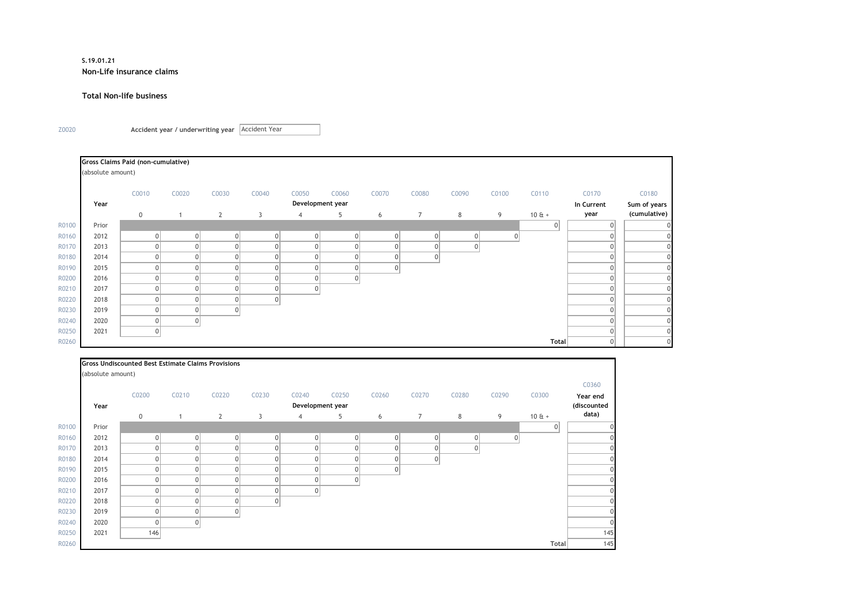#### **S.19.01.21 Non-Life insurance claims**

#### **Total Non-life business**

Z0020 **Accident year / underwriting year**  Accident Year

|       |                   | Gross Claims Paid (non-cumulative) |       |              |             |                  |       |             |                |       |          |         |            |                |
|-------|-------------------|------------------------------------|-------|--------------|-------------|------------------|-------|-------------|----------------|-------|----------|---------|------------|----------------|
|       | (absolute amount) |                                    |       |              |             |                  |       |             |                |       |          |         |            |                |
|       |                   | C0010                              | C0020 | C0030        | C0040       | C0050            | C0060 | C0070       | C0080          | C0090 | C0100    | C0110   | C0170      | C0180          |
|       | Year              |                                    |       |              |             | Development year |       |             |                |       |          |         | In Current | Sum of years   |
|       |                   | $\mathbf 0$                        |       | $\mathbf{2}$ | 3           | $\overline{4}$   | 5     | 6           | $\overline{7}$ | 8     | 9        | $10E +$ | year       | (cumulative)   |
| R0100 | Prior             |                                    |       |              |             |                  |       |             |                |       |          | 0       |            |                |
| R0160 | 2012              | 0                                  |       |              | 0           | $\Omega$         |       | $\mathbf 0$ | 0              |       | $\Omega$ |         |            | $\overline{0}$ |
| R0170 | 2013              | 0                                  |       |              | $\mathbf 0$ |                  |       |             | 0              |       |          |         |            | $\Omega$       |
| R0180 | 2014              | 0                                  |       |              | $\mathbf 0$ |                  |       |             | 0              |       |          |         |            | $\Omega$       |
| R0190 | 2015              | 0                                  |       |              | 0           |                  |       | $\Omega$    |                |       |          |         |            | $\Omega$       |
| R0200 | 2016              | 0                                  |       |              | $\mathbf 0$ |                  |       |             |                |       |          |         |            |                |
| R0210 | 2017              | 0                                  |       |              | 0           | $\Omega$         |       |             |                |       |          |         | $\Omega$   | $\overline{0}$ |
| R0220 | 2018              | 0                                  |       |              | 0           |                  |       |             |                |       |          |         | $\Omega$   | $\overline{0}$ |
| R0230 | 2019              | 0                                  |       | 0            |             |                  |       |             |                |       |          |         | $\Omega$   | $\overline{0}$ |
| R0240 | 2020              | 0                                  |       |              |             |                  |       |             |                |       |          |         | $\Omega$   | $\overline{0}$ |
| R0250 | 2021              | 0                                  |       |              |             |                  |       |             |                |       |          |         | $\Omega$   | $\overline{0}$ |
| R0260 |                   |                                    |       |              |             |                  |       |             |                |       |          | Total   | $\Omega$   | $\Omega$       |

|       |                   | <b>Gross Undiscounted Best Estimate Claims Provisions</b> |                |                |                |                  |                |                |                     |                |          |                |             |
|-------|-------------------|-----------------------------------------------------------|----------------|----------------|----------------|------------------|----------------|----------------|---------------------|----------------|----------|----------------|-------------|
|       | (absolute amount) |                                                           |                |                |                |                  |                |                |                     |                |          |                |             |
|       |                   |                                                           |                |                |                |                  |                |                |                     |                |          |                | C0360       |
|       |                   | C0200                                                     | C0210          | C0220          | C0230          | C0240            | C0250          | C0260          | C0270               | C0280          | C0290    | C0300          | Year end    |
|       | Year              |                                                           |                |                |                | Development year |                |                |                     |                |          |                | (discounted |
|       |                   | $\mathbf 0$                                               |                | $\mathbf{2}$   | 3              | $\overline{4}$   | 5              | 6              | $\overline{7}$      | 8              | 9        | $10E +$        | data)       |
| R0100 | Prior             |                                                           |                |                |                |                  |                |                |                     |                |          | $\overline{0}$ |             |
| R0160 | 2012              | $\overline{0}$                                            | $\overline{0}$ | 0              | $\overline{0}$ | 0                | 0              | $\Omega$       | $\overline{0}$      | $\overline{0}$ | $\Omega$ |                |             |
| R0170 | 2013              | $\Omega$                                                  | ٥I             | $\overline{0}$ | $\Omega$       | $\Omega$         | $\overline{0}$ |                | $\mathbf{0}$        | 0              |          |                |             |
| R0180 | 2014              | $\Omega$                                                  | 01             | 0              | $\Omega$       | $\Omega$         | $\overline{0}$ |                | $\mathsf{O}\xspace$ |                |          |                |             |
| R0190 | 2015              | $\Omega$                                                  | $\Omega$       | 0              | $\Omega$       | $\overline{0}$   | 0              | $\overline{0}$ |                     |                |          |                |             |
| R0200 | 2016              | $\Omega$                                                  | $\overline{0}$ | 0              | 0              | $\overline{0}$   | 0              |                |                     |                |          |                |             |
| R0210 | 2017              | $\Omega$                                                  | ٥I             | 0              | $\Omega$       | $\overline{0}$   |                |                |                     |                |          |                |             |
| R0220 | 2018              | $\Omega$                                                  | ٥I             | 0              | $\overline{0}$ |                  |                |                |                     |                |          |                |             |
| R0230 | 2019              | $\Omega$                                                  | $\overline{0}$ | 0              |                |                  |                |                |                     |                |          |                |             |
| R0240 | 2020              | $\overline{0}$                                            | $\overline{0}$ |                |                |                  |                |                |                     |                |          |                |             |
| R0250 | 2021              | 146                                                       |                |                |                |                  |                |                |                     |                |          |                | 145         |
| R0260 |                   |                                                           |                |                |                |                  |                |                |                     |                |          | Total          | 145         |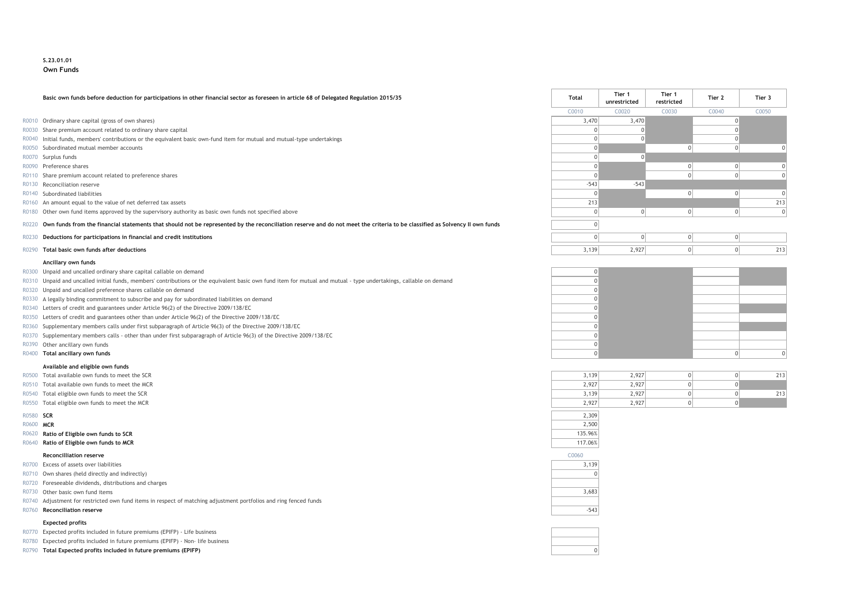#### **S.23.01.01 Own Funds**

#### **Basic own funds before deduction for participations in other financial sector as foreseen in article 68 of Delegated Regulation 2015/35 Total Tier 1**

- R0010 Ordinary share capital (gross of own shares)
- R0030 Share premium account related to ordinary share capital
- R0040 Initial funds, members' contributions or the equivalent basic own-fund item for mutual and mutual-type undertakings
- $R0050$  Subordinated mutual member accounts
- 
- 
- R0110 Share premium account related to preference shares
- R0130 Reconciliation reserve
- 
- R0160 An amount equal to the value of net deferred tax assets
- R0180 Other own fund items approved by the supervisory authority as basic own funds not specified above

#### R0220 Own funds from the financial statements that should not be represented by the reconciliation reserve and do not meet the criteria to be classified as Solvency II own funds

- **R0230 Deductions for participations in financial and credit institutions**
- **R0290 Total basic own funds after deductions**

#### **Ancillary own funds**

- R0300 Unpaid and uncalled ordinary share capital callable on demand 0
- R0310 Unpaid and uncalled initial funds, members' contributions or the equivalent basic own fund item for mutual and mutual type undertakings, callable on demand 0
- R0320 Unpaid and uncalled preference shares callable on demand 0
- R0330 A legally binding commitment to subscribe and pay for subordinated liabilities on demand 0
- R0340 Letters of credit and guarantees under Article 96(2) of the Directive 2009/138/EC 0
- R0350 Letters of credit and guarantees other than under Article 96(2) of the Directive 2009/138/EC 0
- R0360 Supplementary members calls under first subparagraph of Article 96(3) of the Directive 2009/138/EC 0
- R0370 Supplementary members calls other than under first subparagraph of Article 96(3) of the Directive 2009/138/EC 0
- R0390 Other ancillary own funds 0
- 

#### **Available and eligible own funds**

- R0500 Total available own funds to meet the SCR
- R0510 Total available own funds to meet the MCR
- R0540 Total eligible own funds to meet the SCR
- R0550 Total eligible own funds to meet the MCR

- 
- R0620 **Ratio of Eligible own funds to SCR** 135.96% **All and SCR** 135.96% **Ratio of Eligible own funds to SCR** 135.96% **All and SCR** 135.96% **All and SCR** 135.96% **All and SCR** 135.96% **All and SCR** 135.96% **All and SCR** 13
- R0640 **Ratio of Eligible own funds to MCR** 117.06%

#### **Reconcilliation reserve** C0060

| R0700 Excess of assets over liabilities | 3,139 |
|-----------------------------------------|-------|
|-----------------------------------------|-------|

- R0710 Own shares (held directly and indirectly) 0
- R0720 Foreseeable dividends, distributions and charges
- R0730 Other basic own fund items 3,683
- R0740 Adjustment for restricted own fund items in respect of matching adjustment portfolios and ring fenced funds
- R0760 **Reconciliation reserve** -543

#### **Expected profits**

- R0770 Expected profits included in future premiums (EPIFP) Life business
- R0780 Expected profits included in future premiums (EPIFP) Non- life business
- R0790 **Total Expected profits included in future premiums (EPIFP)** 0

|       | Basic own funds before deduction for participations in other financial sector as foreseen in article 68 of Delegated Regulation 2015/35                                     | Total  | Tier 1<br>unrestricted | Tier 1<br>restricted | Tier 2 | Tier 3 |  |
|-------|-----------------------------------------------------------------------------------------------------------------------------------------------------------------------------|--------|------------------------|----------------------|--------|--------|--|
|       |                                                                                                                                                                             | C0010  | C0020                  | C0030                | C0040  | C0050  |  |
|       | R0010 Ordinary share capital (gross of own shares)                                                                                                                          | 3,470  | 3,470                  |                      |        |        |  |
|       | R0030 Share premium account related to ordinary share capital                                                                                                               |        |                        |                      |        |        |  |
|       | R0040 Initial funds, members' contributions or the equivalent basic own-fund item for mutual and mutual-type undertakings                                                   |        |                        |                      |        |        |  |
|       | R0050 Subordinated mutual member accounts                                                                                                                                   |        |                        |                      |        |        |  |
|       | R0070 Surplus funds                                                                                                                                                         |        |                        |                      |        |        |  |
|       | R0090 Preference shares                                                                                                                                                     |        |                        |                      |        |        |  |
|       | R0110 Share premium account related to preference shares                                                                                                                    |        |                        |                      |        |        |  |
|       | R0130 Reconciliation reserve                                                                                                                                                | $-543$ | $-543$                 |                      |        |        |  |
|       | R0140 Subordinated liabilities                                                                                                                                              |        |                        |                      |        |        |  |
|       | R0160 An amount equal to the value of net deferred tax assets                                                                                                               | 213    |                        |                      |        | 213    |  |
|       | R0180 Other own fund items approved by the supervisory authority as basic own funds not specified above                                                                     |        |                        |                      |        |        |  |
| R0220 | Own funds from the financial statements that should not be represented by the reconciliation reserve and do not meet the criteria to be classified as Solvency II own funds |        |                        |                      |        |        |  |
| R0230 | Deductions for participations in financial and credit institutions                                                                                                          |        |                        |                      |        |        |  |
|       | R0290 Total basic own funds after deductions                                                                                                                                | 3,139  | 2,927                  |                      |        | 213    |  |



|  | 2,927 | 3,139 |
|--|-------|-------|
|  | 2,927 | 2,927 |
|  | 2,927 | 3,139 |
|  | 2,927 | 2,927 |
|  |       |       |





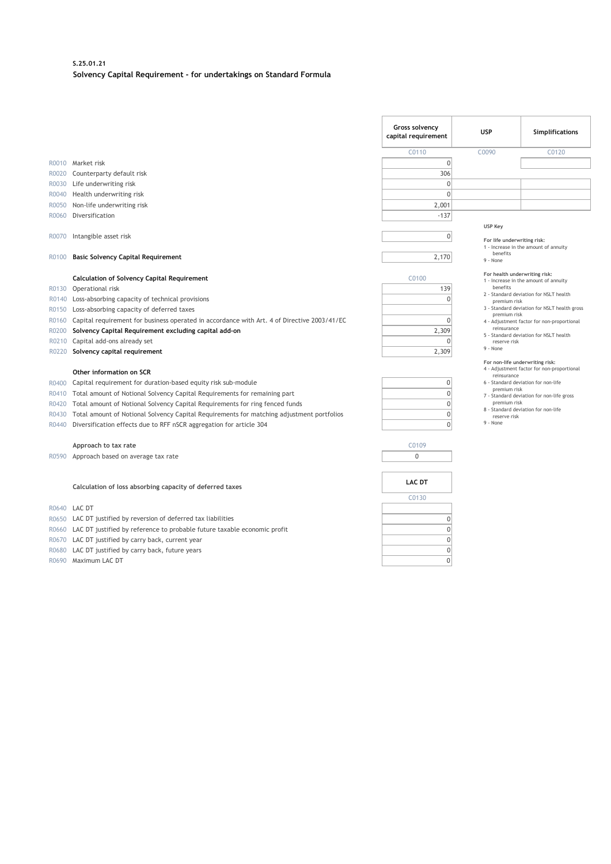#### **S.25.01.21 Solvency Capital Requirement - for undertakings on Standard Formula**

|       |                                                                                             | Gross solvency<br>capital requirement | <b>USP</b>                                         | Simplifications                              |
|-------|---------------------------------------------------------------------------------------------|---------------------------------------|----------------------------------------------------|----------------------------------------------|
|       |                                                                                             | C0110                                 | C0090                                              | C0120                                        |
|       | R0010 Market risk                                                                           | $\mathbf 0$                           |                                                    |                                              |
|       | R0020 Counterparty default risk                                                             | 306                                   |                                                    |                                              |
| R0030 | Life underwriting risk                                                                      | $\mathbf{0}$                          |                                                    |                                              |
| R0040 | Health underwriting risk                                                                    | $\mathbf{0}$                          |                                                    |                                              |
| R0050 | Non-life underwriting risk                                                                  | 2,001                                 |                                                    |                                              |
| R0060 | Diversification                                                                             | $-137$                                |                                                    |                                              |
| R0070 | Intangible asset risk                                                                       | $\mathbf 0$<br>2,170                  | USP Key<br>For life underwriting risk:<br>benefits | 1 - Increase in the amount of annuity        |
| R0100 | <b>Basic Solvency Capital Requirement</b>                                                   |                                       | 9 - None                                           |                                              |
|       | <b>Calculation of Solvency Capital Requirement</b>                                          | C0100                                 | For health underwriting risk:                      |                                              |
|       | R0130 Operational risk                                                                      | 139                                   | benefits                                           | 1 - Increase in the amount of annuity        |
|       | R0140 Loss-absorbing capacity of technical provisions                                       | $\Omega$                              | premium risk                                       | 2 - Standard deviation for NSLT health       |
| R0150 | Loss-absorbing capacity of deferred taxes                                                   |                                       |                                                    | 3 - Standard deviation for NSLT health gross |
| R0160 | Capital requirement for business operated in accordance with Art. 4 of Directive 2003/41/EC | $\mathbf{0}$                          | premium risk                                       | 4 - Adjustment factor for non-proportional   |
| R0200 | Solvency Capital Requirement excluding capital add-on                                       | 2,309                                 | reinsurance                                        |                                              |
|       | R0210 Capital add-ons already set                                                           | $\Omega$                              | reserve risk                                       | 5 - Standard deviation for NSLT health       |
|       | R0220 Solvency capital requirement                                                          | 2,309                                 | 9 - None                                           |                                              |
|       |                                                                                             |                                       | For non-life underwriting risk:                    |                                              |
|       | Other information on SCR                                                                    |                                       | reinsurance                                        | 4 - Adjustment factor for non-proportional   |
| R0400 | Capital requirement for duration-based equity risk sub-module                               | $\mathbf{0}$                          | premium risk                                       | 6 - Standard deviation for non-life          |
| R0410 | Total amount of Notional Solvency Capital Requirements for remaining part                   | $\mathbf 0$                           |                                                    | 7 - Standard deviation for non-life gross    |
| R0420 | Total amount of Notional Solvency Capital Requirements for ring fenced funds                | $\mathbf 0$                           | premium risk                                       | 8 - Standard deviation for non-life          |
| R0430 | Total amount of Notional Solvency Capital Requirements for matching adjustment portfolios   | $\mathbf{0}$                          | reserve risk                                       |                                              |
| R0440 | Diversification effects due to RFF nSCR aggregation for article 304                         | $\mathbf{0}$                          | 9 - None                                           |                                              |
|       |                                                                                             | C0109                                 |                                                    |                                              |
|       | Approach to tax rate<br>R0590 Approach based on average tax rate                            | $\mathbf 0$                           |                                                    |                                              |
|       |                                                                                             |                                       |                                                    |                                              |
|       |                                                                                             |                                       |                                                    |                                              |
|       | Calculation of loss absorbing capacity of deferred taxes                                    | <b>LAC DT</b>                         |                                                    |                                              |
|       |                                                                                             | C0130                                 |                                                    |                                              |
|       | R0640 LAC DT                                                                                |                                       |                                                    |                                              |
| R0650 | LAC DT justified by reversion of deferred tax liabilities                                   | $\mathbf{0}$                          |                                                    |                                              |
|       | R0660 LAC DT justified by reference to probable future taxable economic profit              | $\mathbf{0}$                          |                                                    |                                              |
| R0670 | LAC DT justified by carry back, current year                                                | $\mathbf{0}$                          |                                                    |                                              |
| R0680 | LAC DT justified by carry back, future years                                                | $\mathbf{0}$                          |                                                    |                                              |
|       | R0690 Maximum LAC DT                                                                        | $\mathbf 0$                           |                                                    |                                              |